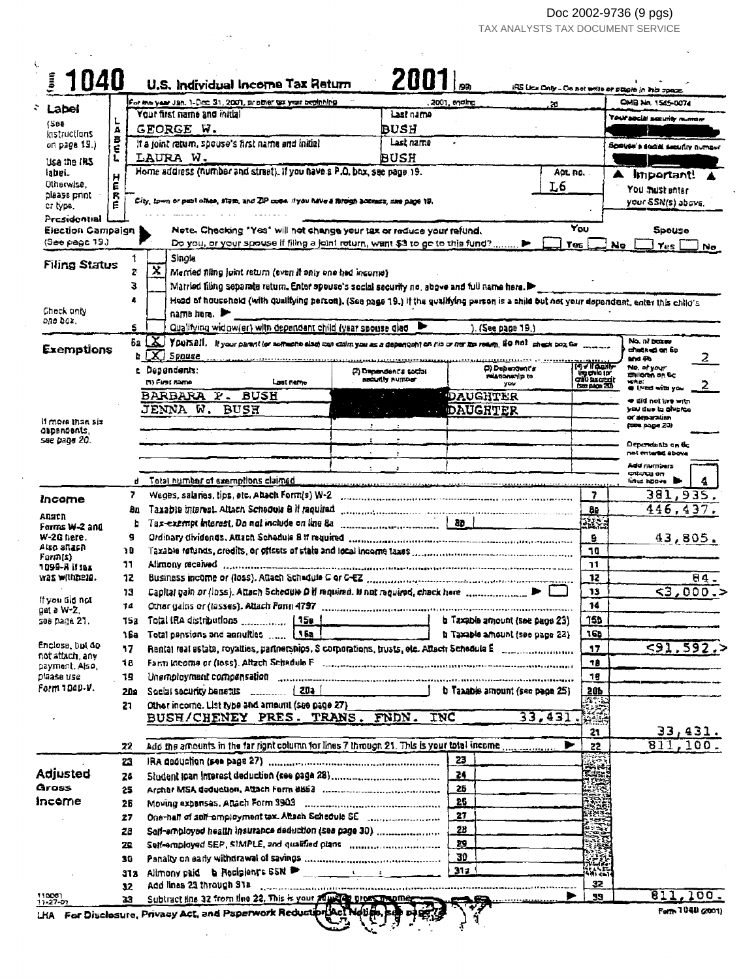$\mathcal{S}^{\pm}$ 

Doc 2002-9736 (9 pgs)<br>TAX ANALYSTS TAX DOCUMENT SERVICE

| 1040                                |          |                                                                                                                                           | 20071                  |                  |                                   |                                                 |                                                    |
|-------------------------------------|----------|-------------------------------------------------------------------------------------------------------------------------------------------|------------------------|------------------|-----------------------------------|-------------------------------------------------|----------------------------------------------------|
|                                     |          | U.S. Individual Income Tax Return                                                                                                         |                        |                  |                                   |                                                 | IRS Use Only - De net write or place in this space |
| Label                               |          | For the year Jan. 1-Dec. 31, 2001, prother to year beginning<br>Your first name and initial                                               | Last name              | 2001, ending     | æ                                 |                                                 | OMB No. 1545-0074                                  |
| (Søe                                | А        | GEORGE W.                                                                                                                                 | BUSH                   |                  |                                   |                                                 | Yoursedal security number                          |
| <b>instructions</b><br>on page 19.) | в        | If a joint return, spouse's first name and initial                                                                                        | Last name              |                  |                                   |                                                 |                                                    |
|                                     |          | LAURA W.                                                                                                                                  | BUSH                   |                  |                                   |                                                 | Spouse's social security number                    |
| usa the IRS<br>labei.               |          | Home address (humber and street). If you have a P.O. box, see page 19.                                                                    |                        |                  | ADL NO.                           |                                                 |                                                    |
| Otherwise.                          | E        |                                                                                                                                           |                        |                  | L6                                |                                                 | Important!                                         |
| plaase print                        | R<br>E   | City, town or past office, stam, and ZIP code. If you have a foreign anomers, man page 19.                                                |                        |                  |                                   |                                                 | You must enter<br>your SSN(s) above.               |
| or type.                            |          |                                                                                                                                           |                        |                  |                                   |                                                 |                                                    |
| Presidential<br>Election Campaign   |          | Note. Checking "Yes" will not change your tax or reduce your refund.                                                                      |                        |                  |                                   | You                                             | Spouse                                             |
| (See page 19.)                      |          | Do you, or your spouse if filing a joint roturn, want \$3 to go to this fund?                                                             |                        |                  |                                   | <b>Yes</b>                                      | No<br><b>Yes</b><br>No                             |
|                                     |          | Single                                                                                                                                    |                        |                  |                                   |                                                 |                                                    |
| <b>Filing Status</b>                | ż        | $\overline{\mathbf{x}}$<br>Married filing joint return (even if only one had income)                                                      |                        |                  |                                   |                                                 |                                                    |
|                                     | З        | Married filing separate return. Enter spouse's social security no, above and full name here.                                              |                        |                  |                                   |                                                 |                                                    |
|                                     | 4        | Head of household (with qualitying person). (See page 19.) If the qualitying person is a child but not your depandent, enter this child's |                        |                  |                                   |                                                 |                                                    |
| Check only                          |          | паттв пеге.                                                                                                                               |                        |                  |                                   |                                                 |                                                    |
| one box.                            | 5        | Qualifying widow(er) with dependent child (year spouse clad                                                                               |                        |                  | ). (See page 19.)                 |                                                 |                                                    |
| Exemptions                          |          | 6a X YOUNAII. Il your parent lor sommente else) con coim you as a dependent on rio or ner los reaves, NO not sheet box ta                 |                        |                  |                                   |                                                 | No. n/ because                                     |
|                                     |          | $b$ $[X]$ Spouse                                                                                                                          |                        |                  |                                   |                                                 | വീരുടേ <b>ല്ല് എ</b> ട്ടി<br>۷<br>and Ab           |
|                                     |          | c Dependents:                                                                                                                             | (2) Dependent's social |                  | D) Debendent's<br>relationship to | [¶У ПФДНУ                                       | No. of your<br>Childran on Sc                      |
|                                     |          | (1) Pirat hamo<br>Lost name                                                                                                               | assantly number        |                  | you                               | ing chila jar<br>Chili Bacarajt<br>(Sm pion 20) | who:<br><b>O</b> (PES with you                     |
|                                     |          | <b>BUSH</b><br>BARBARA P.                                                                                                                 |                        | DAUGHTER         |                                   |                                                 | ≪ did not live witn                                |
|                                     |          | JENNA W.<br><b>BUSH</b>                                                                                                                   | $\sim 100$             | <b>DAUGRTER</b>  |                                   |                                                 | yau dua in alvarea<br>or <del>separa</del> tion    |
| il more than six<br>GapenGants,     |          |                                                                                                                                           |                        |                  |                                   |                                                 | (200 page 20)                                      |
| see bage 20.                        |          |                                                                                                                                           |                        |                  |                                   |                                                 | Depundanta en fle                                  |
|                                     |          |                                                                                                                                           |                        |                  |                                   |                                                 | not miteried above                                 |
|                                     |          |                                                                                                                                           |                        |                  |                                   |                                                 | Add numbers<br>ಳಳುಳು ಂಗ                            |
|                                     | d        | Total number of exemptions claimed.                                                                                                       |                        |                  |                                   |                                                 | line agove                                         |
| Income                              | 7        |                                                                                                                                           |                        |                  |                                   | 7                                               | 381,935.                                           |
| Ansch                               | 8a       | Taxabia interest. Altach Schedule B it required communications and contained and                                                          |                        |                  |                                   | Ba<br><b>RISE</b>                               | 446, 437.                                          |
| Farms W-2 and<br>W-20 here.         | b<br>g   | Tax-exempt interest. Do not include on line 8a                                                                                            | 180                    |                  |                                   |                                                 |                                                    |
| Also angen                          | 0 ר      |                                                                                                                                           |                        |                  |                                   | 9<br>10                                         | 43,805.                                            |
| Form(s)                             | 11       | Alimony received and commutation and all contract the contract of the contract of the contract of the contract of                         |                        |                  |                                   | 11                                              |                                                    |
| 1099-N if tax<br>was withness       | 12       | Business income or (loss). Attach Schadule C or C-EZ                                                                                      |                        |                  |                                   | 12                                              | $\overline{64}$ .                                  |
|                                     | 13       |                                                                                                                                           |                        |                  |                                   | 13                                              | 53,000.5                                           |
| If you tild not                     | 74       |                                                                                                                                           |                        |                  |                                   | 14                                              |                                                    |
| gat a W-2.<br>зөв рада 21.          | 152      |                                                                                                                                           |                        |                  |                                   | מפך                                             |                                                    |
|                                     | 16a      | Total pansions and annuities  [16a                                                                                                        |                        |                  | h Taxable amount (see page 23)    | 165                                             |                                                    |
| Enclose, but do                     | 17       |                                                                                                                                           |                        |                  |                                   | 17                                              | 591,592.                                           |
| not attach, any<br>cayment, Also,   | 18       |                                                                                                                                           |                        |                  |                                   | 78                                              |                                                    |
| plaase use                          | 19       | Unamployment compansation and component and component monotonical component and                                                           |                        |                  |                                   | 75                                              |                                                    |
| Form 1000-V.                        | 20 s     |                                                                                                                                           |                        |                  | b Taxable amount (see page 25)    | 20b                                             |                                                    |
|                                     | 21       | Other income. List type and amount (see page 27)                                                                                          |                        |                  |                                   | 感覚                                              |                                                    |
|                                     |          | BUSH/CHENEY PRES. TRANS. FNDN. INC                                                                                                        |                        |                  | 33,431.                           | ▓                                               |                                                    |
|                                     |          |                                                                                                                                           |                        |                  |                                   | 21.                                             | 33,431.                                            |
|                                     | 22       | Add the amounts in the far right column for lines 7 through 21. This is your total income                                                 |                        |                  | ►                                 | 22                                              | 811,100.                                           |
|                                     | 23       |                                                                                                                                           |                        | 23               |                                   |                                                 |                                                    |
| Adjusted                            | 24       |                                                                                                                                           |                        | 24               |                                   | Ěň                                              |                                                    |
| Gross                               | 25       |                                                                                                                                           |                        | 26               |                                   |                                                 |                                                    |
| income                              | 26       |                                                                                                                                           |                        | 25               |                                   |                                                 |                                                    |
|                                     | 27       | One-half of self-employment tax. Altach Schedule SE [ [ [ [ [ [ [ [ [ [ [ ] ] [ ] [ ] One-half of self-employment tax. Altach Schedule SE |                        | 27               |                                   | ser,                                            |                                                    |
|                                     | 28       | Saff-employed health insurance deduction (see page 30)                                                                                    |                        | 28               |                                   |                                                 |                                                    |
|                                     | 29       | Self-employed SEP, SIMPLE, and qualified plans                                                                                            |                        | 29               |                                   |                                                 |                                                    |
|                                     |          |                                                                                                                                           |                        | 30               |                                   | ñGK.                                            |                                                    |
|                                     | 30       |                                                                                                                                           |                        |                  |                                   |                                                 |                                                    |
|                                     | 313      |                                                                                                                                           |                        | 317 <sub>1</sub> |                                   | 临常                                              |                                                    |
| 110001<br>11-27-01                  | 32<br>33 | Add lines 23 through 31a<br>Subtract line 32 from line 22. This is your adjusted pross manner than                                        |                        |                  |                                   | 32<br>33                                        | 811<br>100.                                        |

 $\sim$ 

 $\sim$   $\star$ 

 $\sim 10$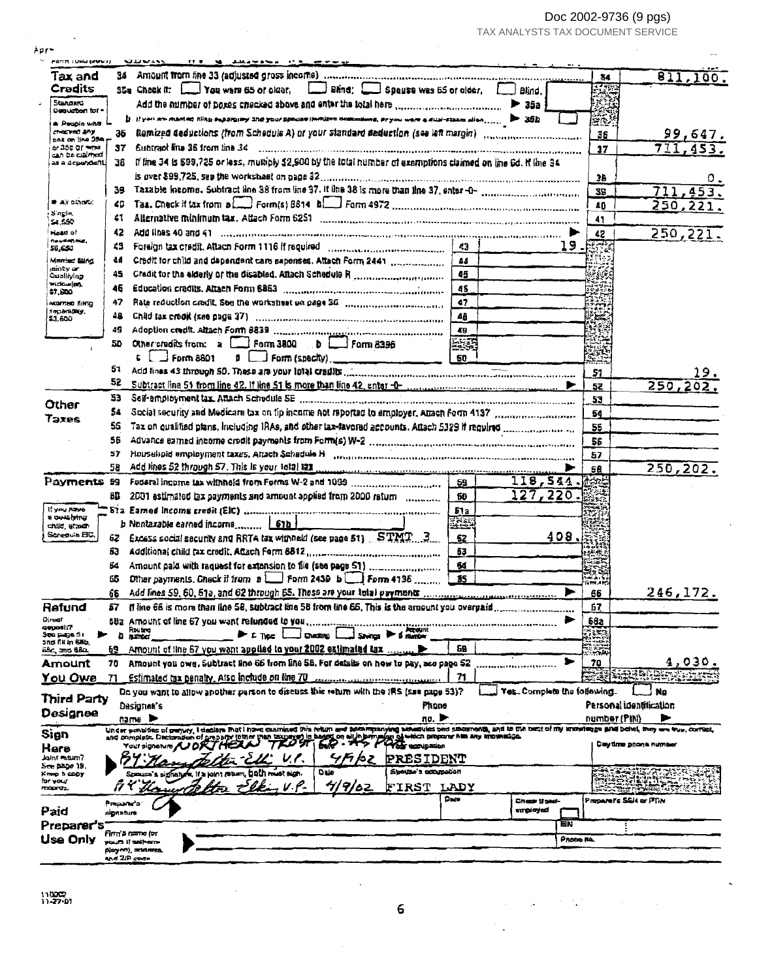Doc 2002-9736 (9 pgs)

 $\hat{\mathbf{v}}$ 

 $\mathcal{F}_{\bullet}$ 

Ļ,

l.

| TAX ANALYSTS TAX DOCUMENT SERVICE |  |  |
|-----------------------------------|--|--|
|-----------------------------------|--|--|

| Apr-                                       |                         |                                                                                                                                                                                                                                |                |                                             |
|--------------------------------------------|-------------------------|--------------------------------------------------------------------------------------------------------------------------------------------------------------------------------------------------------------------------------|----------------|---------------------------------------------|
| PANTI TUHU (KWY) J                         |                         | マロワー<br><b>NE SHARMANN IN RECOVERANCE</b><br>17.8                                                                                                                                                                              |                |                                             |
| Tax and                                    | 34.                     | Amount from line 33 (adjusted gross income) concernational concernment concernment concernments                                                                                                                                | 34             | 811,100                                     |
| <b>Cradits</b>                             |                         | Bland: Spouse was 55 or older.<br>35a Check it: [11] You ware 65 of plant.<br>Blind.                                                                                                                                           | 医腰             |                                             |
| Standard:<br>Dequation for "               |                         | Add the number of boxes checked above and enter the total here manuscription of the authority of 35a                                                                                                                           |                |                                             |
| a Peoplo who                               |                         | b if you are maried filling supergrave and your process formates destinations, ar you were a dual-states allon,                                                                                                                | gr.            |                                             |
| checked Bhy                                | 35                      | Remized deductions (from Schedule A) or your standard deduction (see left margin) manufacture contains                                                                                                                         | 36             | 99,647.                                     |
| pas on the 35m<br>or 350 ar <del>wna</del> | 37                      | Subtract line 36 from line 34                                                                                                                                                                                                  | 17             | 711,453                                     |
| ಮಗಿ ರಿಶಿ ರವ್ಯಗಾಯ<br>as a depoboant.        | 38                      | If line 34 is \$99,725 or less, multiply \$2,900 by the total number of exemptions claimed on line 6d. If line 34                                                                                                              |                |                                             |
|                                            |                         |                                                                                                                                                                                                                                | 38             |                                             |
|                                            | 39                      |                                                                                                                                                                                                                                | 38             | 711,453.                                    |
| <b>* All others:</b>                       | 40                      |                                                                                                                                                                                                                                |                |                                             |
| Single,                                    | 41                      |                                                                                                                                                                                                                                | 40             | 250,221.                                    |
| 54,550                                     |                         |                                                                                                                                                                                                                                | 41             |                                             |
| Head of<br>nousehous.                      | 42                      | Add lines 40 and 41 communication and continuous construction of the communication of the contract of the contract of the contract of the contract of the contract of the contract of the contract of the contract of the cont | 42             | 250,221.                                    |
| 56,650                                     | 43                      | Foreign tax credit. Attach Form 1116 if required (immunous continuous continuous)<br>43<br>19.                                                                                                                                 | <b>RTT</b>     |                                             |
| Marriad Bind<br>minty or                   | 44                      | 84                                                                                                                                                                                                                             |                |                                             |
| Qualliying<br>widow <b>ish</b>             | 45                      | 45                                                                                                                                                                                                                             |                |                                             |
| \$7.DO                                     | 46                      | 45                                                                                                                                                                                                                             |                |                                             |
| мантей бінур<br>лераниру,                  | 47                      | 47                                                                                                                                                                                                                             | F.             |                                             |
| \$1,600                                    | 48.                     | 48                                                                                                                                                                                                                             | $\mathbb{R}$ . |                                             |
|                                            | 49                      | 49                                                                                                                                                                                                                             |                |                                             |
|                                            | 50                      | 医缘<br>Chericredits from: a <b>Et Form 3800</b> b <b>Et Form 8396</b>                                                                                                                                                           |                |                                             |
|                                            |                         | $\frac{1}{2}$ Form 8801<br>o l<br>$\Box$ Form (specity). $\Box$                                                                                                                                                                | <u>ers</u>     |                                             |
|                                            | 51                      |                                                                                                                                                                                                                                | 51             |                                             |
|                                            | 52                      |                                                                                                                                                                                                                                | 52             | 250,202.                                    |
| Other                                      | 53                      |                                                                                                                                                                                                                                | 53             |                                             |
| Taxes                                      | 54                      | Social security and Medicare tax on tip income not reported to employer, Amen Form 4137 manuscriptions.                                                                                                                        | 54             |                                             |
|                                            | 55.                     |                                                                                                                                                                                                                                | 55             |                                             |
|                                            | 56                      |                                                                                                                                                                                                                                | 56             |                                             |
|                                            | 57                      | Household employment taxes, Attach Schedule H Manufacture Communications communications and contract to                                                                                                                        | 57             |                                             |
|                                            | 58.                     |                                                                                                                                                                                                                                | 58             | 250, 202.                                   |
| Payments 59                                |                         | 118,544.<br>59                                                                                                                                                                                                                 |                |                                             |
|                                            | 60                      | 127,220<br>2001 estimated tax payments and amount applied from 2000 return (incomercial<br>60                                                                                                                                  |                |                                             |
| Il you have                                |                         | 512                                                                                                                                                                                                                            |                |                                             |
| a quashiru:<br>ವಚನೆ, ಕರ್ನಾಟ                |                         | b Nontaxable earned income $\boxed{67b}$<br><u> 사용</u>                                                                                                                                                                         |                |                                             |
| Screpuls ElC.                              | 62                      | 408.<br>Excess social security and RRTA tax withheld (see page 51) STMT 3.<br>62                                                                                                                                               |                |                                             |
|                                            | 63                      | 63                                                                                                                                                                                                                             |                |                                             |
|                                            | Вđ                      | 64                                                                                                                                                                                                                             |                |                                             |
|                                            | 65                      | Other payments. Check if from $\mathfrak{b}$ $\Box$ Form 2439 $\mathfrak{b}$ $\Box$ Form 4135<br>15                                                                                                                            | 高端             |                                             |
|                                            | 66                      | ►<br>Add lines 59, 60, 61a, and 62 through 65. These are your total payments                                                                                                                                                   | 66             | 246,172                                     |
| Rafund                                     |                         | If line 66 is more than tine 58, subtract line 58 from line 66, This is the amount you overpaid                                                                                                                                | 57             |                                             |
| Diregi                                     |                         | 682 Amount of line 67 you want relunded to you                                                                                                                                                                                 | 68a            |                                             |
| qepatit?<br>See page 51                    | Ð                       | Routing<br>$\blacktriangleright$ £ Type<br><b>Charging</b><br>Sevinas<br><b>Amout</b>                                                                                                                                          |                |                                             |
| ះពថ ពី៥ ព្រ 68b,<br>බද්ද කාර බිව්ය         | 69                      | Amount of line 67 you want applied to your 2002 extimated tax<br>68                                                                                                                                                            | - 3            |                                             |
| Amount                                     | 70                      | Amount you owe. Subtract line 66 from line 58. For datalls on how to pay, see page 52<br>э                                                                                                                                     | نقرب<br>70     | 4,030                                       |
| <u>You Owe</u>                             | 71                      | Estimated tax penalty, Also include on line 70<br>71                                                                                                                                                                           |                | للاتا بالواليوي                             |
|                                            |                         | Do you want to allow another person to discuss this return with the IRS (see page 53)?<br>Yes_Complete the following.                                                                                                          |                | No                                          |
| Third Party                                |                         | Phane<br>Dasignea's                                                                                                                                                                                                            |                | Personal identification                     |
| Designee                                   |                         | no. D<br>name i <del>≫</del>                                                                                                                                                                                                   | number (PIN)   |                                             |
|                                            |                         | Under ponalties of perjury, I design mot i nove contrined this return and accompanying achesting conditions and to motel of the best of thy immediate and belief, may are true, correct,                                       |                |                                             |
| Sign                                       |                         | and complete. Declaration of property foller than bargary of is hagog on all his primaling of which propose has any knowledge.<br>6.P<br>7K.C T<br><b>Your accupation</b><br>Your signesure AUDR                               |                | Day time proces number                      |
| Hare<br>Tinuder Tiliol.                    |                         | ج 16 جا<br>PRESIDENT                                                                                                                                                                                                           |                |                                             |
| See page 19.<br>Keep h CODY                |                         | Syeupe's accumption<br>Oalo<br>bath must sign<br>Speared's signature, if a loint mount.                                                                                                                                        |                |                                             |
| har yesur                                  |                         | FIRST LADY                                                                                                                                                                                                                     |                |                                             |
| ಗಮಾರು,                                     |                         | Dar<br>Charr ij parf                                                                                                                                                                                                           |                | يتجدد<br>$\cdots$<br>Proparet's SSN or PTIN |
| Paid                                       | Propany's'<br>signature | <del>anglayed</del>                                                                                                                                                                                                            |                |                                             |
| Preparer's                                 |                         | ΈN                                                                                                                                                                                                                             |                |                                             |
| Use Only                                   |                         | דמ) מתפק 3 הדורה<br>Рпопо па                                                                                                                                                                                                   |                |                                             |
|                                            |                         | yours if salvem-<br>player), andress.                                                                                                                                                                                          |                |                                             |
|                                            | ඇර 20 අංශ <b>-</b>      |                                                                                                                                                                                                                                |                |                                             |

 $^{11002}_{1122201}$ 

 $\epsilon$ 

 $\overline{\phantom{a}}$ 

 $\bar{z}$ 

 $\hat{\boldsymbol{\beta}}$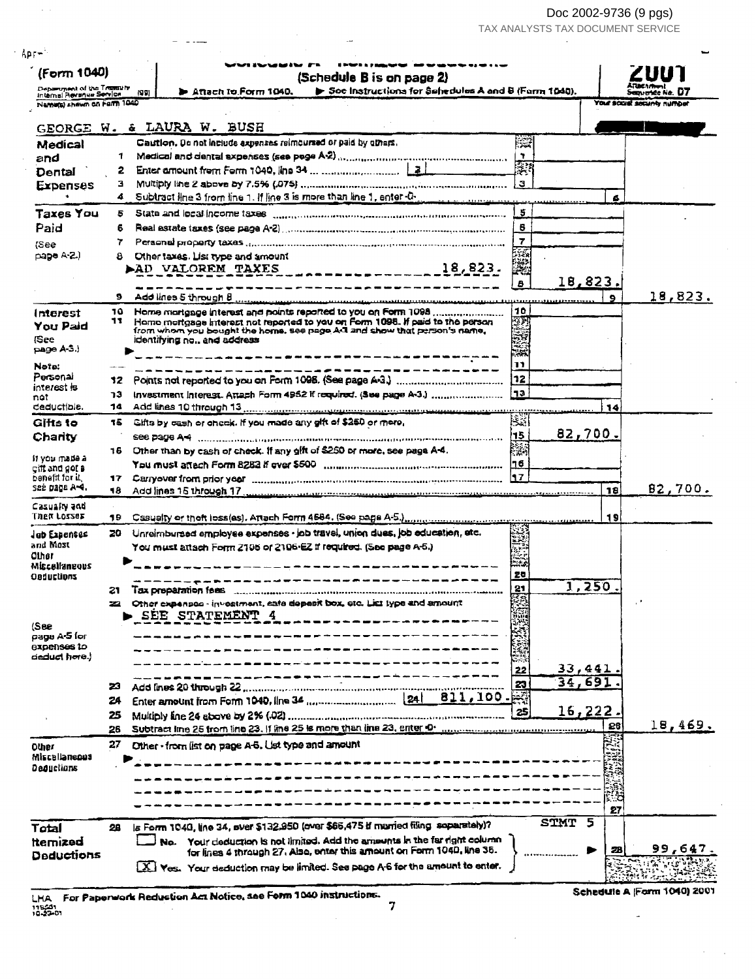Doc 2002-9736 (9 pgs)

TAX ANALYSTS TAX DOCUMENT SERVICE

| Department of the Treasury<br>Soe instructions for Schedules A and B (Form 1040).<br><b>&gt;</b> Attach to Form 1040.<br><b>AJ 91</b><br>Internal Revenue Service<br>Name(s) shown on Farm 1040<br>GEORGE W. & LAURA W. BUSH<br>BR<br>Caution. Do not include expenses reimoursed or paid by others.<br>Medical<br>Medical and dental expenses (see page A-2) (intermal construction continuous construction<br>n,<br>1<br>and<br>्रा<br><u> 1999 - Jan Bar</u><br>2<br>Dental<br>з<br><b>Expenses</b><br>Subtract line 3 from line 1. If line 3 is more than line 1, enter-0-<br>4.<br>4<br><b>Taxes You</b><br>5<br>5<br>Paid<br>6<br>Real astate taxes (see page A-2) www.communication.com/entrum.communication<br>6<br>$\overline{7}$<br>7<br>lSee<br>藻<br>Other taxes. List type and amount<br>pape A-2.)<br>8.<br>鱜<br>AD VALOREM TAXES<br>18,823.<br>B<br>___ <b>___</b> ____ <b>______</b> ______<br>s<br>9<br>10<br>10<br>Interest<br>東海線<br>Home mortgage interact not reported to you on Form 1098. If paid to the person<br>11<br>You Paid<br>from whom you bought the home, see page A-1 and show that person's name,<br><b>See</b><br>identifying no., and address<br>раде А.З.)<br>11<br>Note:<br>Personal<br>172<br>12.<br>interest is<br>l¶3⊦<br>Investment Interest. Attach Form 4952 if required. (See page A-3.)<br>าว<br>nat<br>deductible.<br>14<br>14<br>83<br>Gifts by cash or check. If you made any gift of \$250 or more,<br>Gifts to<br>15.<br>82,700.<br>15<br>Charity<br>鬻<br>16 Other than by cash of check. If any gift of \$250 or more, see page A-4.<br>it you made a<br>cift and got <b>a</b><br>$\vert$ 17<br>cenem for it.<br>Carry over from prior year encouragement in the continuum continuum continuum continuum<br>17.<br>see page A≈4.<br>18<br>- 8<br>Casualiy and<br><b>Then Losses</b><br>19<br>19.<br>Unreimbursed employee expenses - job travel, union dues, job education, etc.<br>20 .<br>Jab Expenses<br>and Most<br>You must attach Form 2106 or 2106-EZ if required. (See page A-5.)<br><b>Other</b><br>ಾತಿ<br>Miscolianeous<br>20<br>Oaductions<br>_________________________<br>1,250<br>21<br>21<br>Other expenses - investment, safe depeck box, etc. List type and amount<br>► SËE STATEMENT 4<br>(See<br>page A-5 for<br><b>BIDENSES 10</b><br>deduct hore.)<br>33,441<br>22<br>34,691<br>23<br>23<br>811,100 __ <b>图</b><br>24<br>16,222.<br>25<br>25<br>28<br>26<br>27<br>Other - from list on page A-6. Ust type and amount<br><b>Other</b><br>Miscallaneous<br>Dequetions<br>27<br>STMT 5<br>is Form 1040, line 34, sver \$132,950 (ever \$66,475 if married filing separately)?<br>Total<br>28<br>No. Your deduction is not limited. Add the amounts in the far right column<br>tternized<br>28 | (Schedule B is on page 2) |  |                           |
|--------------------------------------------------------------------------------------------------------------------------------------------------------------------------------------------------------------------------------------------------------------------------------------------------------------------------------------------------------------------------------------------------------------------------------------------------------------------------------------------------------------------------------------------------------------------------------------------------------------------------------------------------------------------------------------------------------------------------------------------------------------------------------------------------------------------------------------------------------------------------------------------------------------------------------------------------------------------------------------------------------------------------------------------------------------------------------------------------------------------------------------------------------------------------------------------------------------------------------------------------------------------------------------------------------------------------------------------------------------------------------------------------------------------------------------------------------------------------------------------------------------------------------------------------------------------------------------------------------------------------------------------------------------------------------------------------------------------------------------------------------------------------------------------------------------------------------------------------------------------------------------------------------------------------------------------------------------------------------------------------------------------------------------------------------------------------------------------------------------------------------------------------------------------------------------------------------------------------------------------------------------------------------------------------------------------------------------------------------------------------------------------------------------------------------------------------------------------------------------------------------------------------------------------------------------------------------------------------------------------------------------------------------------------------------------------------------------------------------------------------------------------|---------------------------|--|---------------------------|
|                                                                                                                                                                                                                                                                                                                                                                                                                                                                                                                                                                                                                                                                                                                                                                                                                                                                                                                                                                                                                                                                                                                                                                                                                                                                                                                                                                                                                                                                                                                                                                                                                                                                                                                                                                                                                                                                                                                                                                                                                                                                                                                                                                                                                                                                                                                                                                                                                                                                                                                                                                                                                                                                                                                                                                    |                           |  | avride No.                |
|                                                                                                                                                                                                                                                                                                                                                                                                                                                                                                                                                                                                                                                                                                                                                                                                                                                                                                                                                                                                                                                                                                                                                                                                                                                                                                                                                                                                                                                                                                                                                                                                                                                                                                                                                                                                                                                                                                                                                                                                                                                                                                                                                                                                                                                                                                                                                                                                                                                                                                                                                                                                                                                                                                                                                                    |                           |  | YOUR SCOIN SOCURE RUTHDOT |
|                                                                                                                                                                                                                                                                                                                                                                                                                                                                                                                                                                                                                                                                                                                                                                                                                                                                                                                                                                                                                                                                                                                                                                                                                                                                                                                                                                                                                                                                                                                                                                                                                                                                                                                                                                                                                                                                                                                                                                                                                                                                                                                                                                                                                                                                                                                                                                                                                                                                                                                                                                                                                                                                                                                                                                    |                           |  |                           |
|                                                                                                                                                                                                                                                                                                                                                                                                                                                                                                                                                                                                                                                                                                                                                                                                                                                                                                                                                                                                                                                                                                                                                                                                                                                                                                                                                                                                                                                                                                                                                                                                                                                                                                                                                                                                                                                                                                                                                                                                                                                                                                                                                                                                                                                                                                                                                                                                                                                                                                                                                                                                                                                                                                                                                                    |                           |  |                           |
|                                                                                                                                                                                                                                                                                                                                                                                                                                                                                                                                                                                                                                                                                                                                                                                                                                                                                                                                                                                                                                                                                                                                                                                                                                                                                                                                                                                                                                                                                                                                                                                                                                                                                                                                                                                                                                                                                                                                                                                                                                                                                                                                                                                                                                                                                                                                                                                                                                                                                                                                                                                                                                                                                                                                                                    |                           |  |                           |
|                                                                                                                                                                                                                                                                                                                                                                                                                                                                                                                                                                                                                                                                                                                                                                                                                                                                                                                                                                                                                                                                                                                                                                                                                                                                                                                                                                                                                                                                                                                                                                                                                                                                                                                                                                                                                                                                                                                                                                                                                                                                                                                                                                                                                                                                                                                                                                                                                                                                                                                                                                                                                                                                                                                                                                    |                           |  |                           |
|                                                                                                                                                                                                                                                                                                                                                                                                                                                                                                                                                                                                                                                                                                                                                                                                                                                                                                                                                                                                                                                                                                                                                                                                                                                                                                                                                                                                                                                                                                                                                                                                                                                                                                                                                                                                                                                                                                                                                                                                                                                                                                                                                                                                                                                                                                                                                                                                                                                                                                                                                                                                                                                                                                                                                                    |                           |  |                           |
|                                                                                                                                                                                                                                                                                                                                                                                                                                                                                                                                                                                                                                                                                                                                                                                                                                                                                                                                                                                                                                                                                                                                                                                                                                                                                                                                                                                                                                                                                                                                                                                                                                                                                                                                                                                                                                                                                                                                                                                                                                                                                                                                                                                                                                                                                                                                                                                                                                                                                                                                                                                                                                                                                                                                                                    |                           |  |                           |
|                                                                                                                                                                                                                                                                                                                                                                                                                                                                                                                                                                                                                                                                                                                                                                                                                                                                                                                                                                                                                                                                                                                                                                                                                                                                                                                                                                                                                                                                                                                                                                                                                                                                                                                                                                                                                                                                                                                                                                                                                                                                                                                                                                                                                                                                                                                                                                                                                                                                                                                                                                                                                                                                                                                                                                    |                           |  |                           |
|                                                                                                                                                                                                                                                                                                                                                                                                                                                                                                                                                                                                                                                                                                                                                                                                                                                                                                                                                                                                                                                                                                                                                                                                                                                                                                                                                                                                                                                                                                                                                                                                                                                                                                                                                                                                                                                                                                                                                                                                                                                                                                                                                                                                                                                                                                                                                                                                                                                                                                                                                                                                                                                                                                                                                                    |                           |  |                           |
|                                                                                                                                                                                                                                                                                                                                                                                                                                                                                                                                                                                                                                                                                                                                                                                                                                                                                                                                                                                                                                                                                                                                                                                                                                                                                                                                                                                                                                                                                                                                                                                                                                                                                                                                                                                                                                                                                                                                                                                                                                                                                                                                                                                                                                                                                                                                                                                                                                                                                                                                                                                                                                                                                                                                                                    |                           |  |                           |
|                                                                                                                                                                                                                                                                                                                                                                                                                                                                                                                                                                                                                                                                                                                                                                                                                                                                                                                                                                                                                                                                                                                                                                                                                                                                                                                                                                                                                                                                                                                                                                                                                                                                                                                                                                                                                                                                                                                                                                                                                                                                                                                                                                                                                                                                                                                                                                                                                                                                                                                                                                                                                                                                                                                                                                    |                           |  |                           |
|                                                                                                                                                                                                                                                                                                                                                                                                                                                                                                                                                                                                                                                                                                                                                                                                                                                                                                                                                                                                                                                                                                                                                                                                                                                                                                                                                                                                                                                                                                                                                                                                                                                                                                                                                                                                                                                                                                                                                                                                                                                                                                                                                                                                                                                                                                                                                                                                                                                                                                                                                                                                                                                                                                                                                                    |                           |  |                           |
|                                                                                                                                                                                                                                                                                                                                                                                                                                                                                                                                                                                                                                                                                                                                                                                                                                                                                                                                                                                                                                                                                                                                                                                                                                                                                                                                                                                                                                                                                                                                                                                                                                                                                                                                                                                                                                                                                                                                                                                                                                                                                                                                                                                                                                                                                                                                                                                                                                                                                                                                                                                                                                                                                                                                                                    |                           |  |                           |
|                                                                                                                                                                                                                                                                                                                                                                                                                                                                                                                                                                                                                                                                                                                                                                                                                                                                                                                                                                                                                                                                                                                                                                                                                                                                                                                                                                                                                                                                                                                                                                                                                                                                                                                                                                                                                                                                                                                                                                                                                                                                                                                                                                                                                                                                                                                                                                                                                                                                                                                                                                                                                                                                                                                                                                    |                           |  |                           |
|                                                                                                                                                                                                                                                                                                                                                                                                                                                                                                                                                                                                                                                                                                                                                                                                                                                                                                                                                                                                                                                                                                                                                                                                                                                                                                                                                                                                                                                                                                                                                                                                                                                                                                                                                                                                                                                                                                                                                                                                                                                                                                                                                                                                                                                                                                                                                                                                                                                                                                                                                                                                                                                                                                                                                                    |                           |  | 18,823.                   |
|                                                                                                                                                                                                                                                                                                                                                                                                                                                                                                                                                                                                                                                                                                                                                                                                                                                                                                                                                                                                                                                                                                                                                                                                                                                                                                                                                                                                                                                                                                                                                                                                                                                                                                                                                                                                                                                                                                                                                                                                                                                                                                                                                                                                                                                                                                                                                                                                                                                                                                                                                                                                                                                                                                                                                                    |                           |  |                           |
|                                                                                                                                                                                                                                                                                                                                                                                                                                                                                                                                                                                                                                                                                                                                                                                                                                                                                                                                                                                                                                                                                                                                                                                                                                                                                                                                                                                                                                                                                                                                                                                                                                                                                                                                                                                                                                                                                                                                                                                                                                                                                                                                                                                                                                                                                                                                                                                                                                                                                                                                                                                                                                                                                                                                                                    |                           |  |                           |
|                                                                                                                                                                                                                                                                                                                                                                                                                                                                                                                                                                                                                                                                                                                                                                                                                                                                                                                                                                                                                                                                                                                                                                                                                                                                                                                                                                                                                                                                                                                                                                                                                                                                                                                                                                                                                                                                                                                                                                                                                                                                                                                                                                                                                                                                                                                                                                                                                                                                                                                                                                                                                                                                                                                                                                    |                           |  |                           |
|                                                                                                                                                                                                                                                                                                                                                                                                                                                                                                                                                                                                                                                                                                                                                                                                                                                                                                                                                                                                                                                                                                                                                                                                                                                                                                                                                                                                                                                                                                                                                                                                                                                                                                                                                                                                                                                                                                                                                                                                                                                                                                                                                                                                                                                                                                                                                                                                                                                                                                                                                                                                                                                                                                                                                                    |                           |  |                           |
|                                                                                                                                                                                                                                                                                                                                                                                                                                                                                                                                                                                                                                                                                                                                                                                                                                                                                                                                                                                                                                                                                                                                                                                                                                                                                                                                                                                                                                                                                                                                                                                                                                                                                                                                                                                                                                                                                                                                                                                                                                                                                                                                                                                                                                                                                                                                                                                                                                                                                                                                                                                                                                                                                                                                                                    |                           |  |                           |
|                                                                                                                                                                                                                                                                                                                                                                                                                                                                                                                                                                                                                                                                                                                                                                                                                                                                                                                                                                                                                                                                                                                                                                                                                                                                                                                                                                                                                                                                                                                                                                                                                                                                                                                                                                                                                                                                                                                                                                                                                                                                                                                                                                                                                                                                                                                                                                                                                                                                                                                                                                                                                                                                                                                                                                    |                           |  |                           |
|                                                                                                                                                                                                                                                                                                                                                                                                                                                                                                                                                                                                                                                                                                                                                                                                                                                                                                                                                                                                                                                                                                                                                                                                                                                                                                                                                                                                                                                                                                                                                                                                                                                                                                                                                                                                                                                                                                                                                                                                                                                                                                                                                                                                                                                                                                                                                                                                                                                                                                                                                                                                                                                                                                                                                                    |                           |  |                           |
|                                                                                                                                                                                                                                                                                                                                                                                                                                                                                                                                                                                                                                                                                                                                                                                                                                                                                                                                                                                                                                                                                                                                                                                                                                                                                                                                                                                                                                                                                                                                                                                                                                                                                                                                                                                                                                                                                                                                                                                                                                                                                                                                                                                                                                                                                                                                                                                                                                                                                                                                                                                                                                                                                                                                                                    |                           |  |                           |
|                                                                                                                                                                                                                                                                                                                                                                                                                                                                                                                                                                                                                                                                                                                                                                                                                                                                                                                                                                                                                                                                                                                                                                                                                                                                                                                                                                                                                                                                                                                                                                                                                                                                                                                                                                                                                                                                                                                                                                                                                                                                                                                                                                                                                                                                                                                                                                                                                                                                                                                                                                                                                                                                                                                                                                    |                           |  |                           |
|                                                                                                                                                                                                                                                                                                                                                                                                                                                                                                                                                                                                                                                                                                                                                                                                                                                                                                                                                                                                                                                                                                                                                                                                                                                                                                                                                                                                                                                                                                                                                                                                                                                                                                                                                                                                                                                                                                                                                                                                                                                                                                                                                                                                                                                                                                                                                                                                                                                                                                                                                                                                                                                                                                                                                                    |                           |  |                           |
|                                                                                                                                                                                                                                                                                                                                                                                                                                                                                                                                                                                                                                                                                                                                                                                                                                                                                                                                                                                                                                                                                                                                                                                                                                                                                                                                                                                                                                                                                                                                                                                                                                                                                                                                                                                                                                                                                                                                                                                                                                                                                                                                                                                                                                                                                                                                                                                                                                                                                                                                                                                                                                                                                                                                                                    |                           |  |                           |
|                                                                                                                                                                                                                                                                                                                                                                                                                                                                                                                                                                                                                                                                                                                                                                                                                                                                                                                                                                                                                                                                                                                                                                                                                                                                                                                                                                                                                                                                                                                                                                                                                                                                                                                                                                                                                                                                                                                                                                                                                                                                                                                                                                                                                                                                                                                                                                                                                                                                                                                                                                                                                                                                                                                                                                    |                           |  |                           |
|                                                                                                                                                                                                                                                                                                                                                                                                                                                                                                                                                                                                                                                                                                                                                                                                                                                                                                                                                                                                                                                                                                                                                                                                                                                                                                                                                                                                                                                                                                                                                                                                                                                                                                                                                                                                                                                                                                                                                                                                                                                                                                                                                                                                                                                                                                                                                                                                                                                                                                                                                                                                                                                                                                                                                                    |                           |  |                           |
|                                                                                                                                                                                                                                                                                                                                                                                                                                                                                                                                                                                                                                                                                                                                                                                                                                                                                                                                                                                                                                                                                                                                                                                                                                                                                                                                                                                                                                                                                                                                                                                                                                                                                                                                                                                                                                                                                                                                                                                                                                                                                                                                                                                                                                                                                                                                                                                                                                                                                                                                                                                                                                                                                                                                                                    |                           |  | 82,700.                   |
|                                                                                                                                                                                                                                                                                                                                                                                                                                                                                                                                                                                                                                                                                                                                                                                                                                                                                                                                                                                                                                                                                                                                                                                                                                                                                                                                                                                                                                                                                                                                                                                                                                                                                                                                                                                                                                                                                                                                                                                                                                                                                                                                                                                                                                                                                                                                                                                                                                                                                                                                                                                                                                                                                                                                                                    |                           |  |                           |
|                                                                                                                                                                                                                                                                                                                                                                                                                                                                                                                                                                                                                                                                                                                                                                                                                                                                                                                                                                                                                                                                                                                                                                                                                                                                                                                                                                                                                                                                                                                                                                                                                                                                                                                                                                                                                                                                                                                                                                                                                                                                                                                                                                                                                                                                                                                                                                                                                                                                                                                                                                                                                                                                                                                                                                    |                           |  |                           |
|                                                                                                                                                                                                                                                                                                                                                                                                                                                                                                                                                                                                                                                                                                                                                                                                                                                                                                                                                                                                                                                                                                                                                                                                                                                                                                                                                                                                                                                                                                                                                                                                                                                                                                                                                                                                                                                                                                                                                                                                                                                                                                                                                                                                                                                                                                                                                                                                                                                                                                                                                                                                                                                                                                                                                                    |                           |  |                           |
|                                                                                                                                                                                                                                                                                                                                                                                                                                                                                                                                                                                                                                                                                                                                                                                                                                                                                                                                                                                                                                                                                                                                                                                                                                                                                                                                                                                                                                                                                                                                                                                                                                                                                                                                                                                                                                                                                                                                                                                                                                                                                                                                                                                                                                                                                                                                                                                                                                                                                                                                                                                                                                                                                                                                                                    |                           |  |                           |
|                                                                                                                                                                                                                                                                                                                                                                                                                                                                                                                                                                                                                                                                                                                                                                                                                                                                                                                                                                                                                                                                                                                                                                                                                                                                                                                                                                                                                                                                                                                                                                                                                                                                                                                                                                                                                                                                                                                                                                                                                                                                                                                                                                                                                                                                                                                                                                                                                                                                                                                                                                                                                                                                                                                                                                    |                           |  |                           |
|                                                                                                                                                                                                                                                                                                                                                                                                                                                                                                                                                                                                                                                                                                                                                                                                                                                                                                                                                                                                                                                                                                                                                                                                                                                                                                                                                                                                                                                                                                                                                                                                                                                                                                                                                                                                                                                                                                                                                                                                                                                                                                                                                                                                                                                                                                                                                                                                                                                                                                                                                                                                                                                                                                                                                                    |                           |  |                           |
|                                                                                                                                                                                                                                                                                                                                                                                                                                                                                                                                                                                                                                                                                                                                                                                                                                                                                                                                                                                                                                                                                                                                                                                                                                                                                                                                                                                                                                                                                                                                                                                                                                                                                                                                                                                                                                                                                                                                                                                                                                                                                                                                                                                                                                                                                                                                                                                                                                                                                                                                                                                                                                                                                                                                                                    |                           |  |                           |
|                                                                                                                                                                                                                                                                                                                                                                                                                                                                                                                                                                                                                                                                                                                                                                                                                                                                                                                                                                                                                                                                                                                                                                                                                                                                                                                                                                                                                                                                                                                                                                                                                                                                                                                                                                                                                                                                                                                                                                                                                                                                                                                                                                                                                                                                                                                                                                                                                                                                                                                                                                                                                                                                                                                                                                    |                           |  |                           |
|                                                                                                                                                                                                                                                                                                                                                                                                                                                                                                                                                                                                                                                                                                                                                                                                                                                                                                                                                                                                                                                                                                                                                                                                                                                                                                                                                                                                                                                                                                                                                                                                                                                                                                                                                                                                                                                                                                                                                                                                                                                                                                                                                                                                                                                                                                                                                                                                                                                                                                                                                                                                                                                                                                                                                                    |                           |  |                           |
|                                                                                                                                                                                                                                                                                                                                                                                                                                                                                                                                                                                                                                                                                                                                                                                                                                                                                                                                                                                                                                                                                                                                                                                                                                                                                                                                                                                                                                                                                                                                                                                                                                                                                                                                                                                                                                                                                                                                                                                                                                                                                                                                                                                                                                                                                                                                                                                                                                                                                                                                                                                                                                                                                                                                                                    |                           |  |                           |
|                                                                                                                                                                                                                                                                                                                                                                                                                                                                                                                                                                                                                                                                                                                                                                                                                                                                                                                                                                                                                                                                                                                                                                                                                                                                                                                                                                                                                                                                                                                                                                                                                                                                                                                                                                                                                                                                                                                                                                                                                                                                                                                                                                                                                                                                                                                                                                                                                                                                                                                                                                                                                                                                                                                                                                    |                           |  |                           |
|                                                                                                                                                                                                                                                                                                                                                                                                                                                                                                                                                                                                                                                                                                                                                                                                                                                                                                                                                                                                                                                                                                                                                                                                                                                                                                                                                                                                                                                                                                                                                                                                                                                                                                                                                                                                                                                                                                                                                                                                                                                                                                                                                                                                                                                                                                                                                                                                                                                                                                                                                                                                                                                                                                                                                                    |                           |  |                           |
|                                                                                                                                                                                                                                                                                                                                                                                                                                                                                                                                                                                                                                                                                                                                                                                                                                                                                                                                                                                                                                                                                                                                                                                                                                                                                                                                                                                                                                                                                                                                                                                                                                                                                                                                                                                                                                                                                                                                                                                                                                                                                                                                                                                                                                                                                                                                                                                                                                                                                                                                                                                                                                                                                                                                                                    |                           |  |                           |
|                                                                                                                                                                                                                                                                                                                                                                                                                                                                                                                                                                                                                                                                                                                                                                                                                                                                                                                                                                                                                                                                                                                                                                                                                                                                                                                                                                                                                                                                                                                                                                                                                                                                                                                                                                                                                                                                                                                                                                                                                                                                                                                                                                                                                                                                                                                                                                                                                                                                                                                                                                                                                                                                                                                                                                    |                           |  |                           |
|                                                                                                                                                                                                                                                                                                                                                                                                                                                                                                                                                                                                                                                                                                                                                                                                                                                                                                                                                                                                                                                                                                                                                                                                                                                                                                                                                                                                                                                                                                                                                                                                                                                                                                                                                                                                                                                                                                                                                                                                                                                                                                                                                                                                                                                                                                                                                                                                                                                                                                                                                                                                                                                                                                                                                                    |                           |  |                           |
|                                                                                                                                                                                                                                                                                                                                                                                                                                                                                                                                                                                                                                                                                                                                                                                                                                                                                                                                                                                                                                                                                                                                                                                                                                                                                                                                                                                                                                                                                                                                                                                                                                                                                                                                                                                                                                                                                                                                                                                                                                                                                                                                                                                                                                                                                                                                                                                                                                                                                                                                                                                                                                                                                                                                                                    |                           |  |                           |
|                                                                                                                                                                                                                                                                                                                                                                                                                                                                                                                                                                                                                                                                                                                                                                                                                                                                                                                                                                                                                                                                                                                                                                                                                                                                                                                                                                                                                                                                                                                                                                                                                                                                                                                                                                                                                                                                                                                                                                                                                                                                                                                                                                                                                                                                                                                                                                                                                                                                                                                                                                                                                                                                                                                                                                    |                           |  | 18,469.                   |
|                                                                                                                                                                                                                                                                                                                                                                                                                                                                                                                                                                                                                                                                                                                                                                                                                                                                                                                                                                                                                                                                                                                                                                                                                                                                                                                                                                                                                                                                                                                                                                                                                                                                                                                                                                                                                                                                                                                                                                                                                                                                                                                                                                                                                                                                                                                                                                                                                                                                                                                                                                                                                                                                                                                                                                    |                           |  |                           |
|                                                                                                                                                                                                                                                                                                                                                                                                                                                                                                                                                                                                                                                                                                                                                                                                                                                                                                                                                                                                                                                                                                                                                                                                                                                                                                                                                                                                                                                                                                                                                                                                                                                                                                                                                                                                                                                                                                                                                                                                                                                                                                                                                                                                                                                                                                                                                                                                                                                                                                                                                                                                                                                                                                                                                                    |                           |  |                           |
|                                                                                                                                                                                                                                                                                                                                                                                                                                                                                                                                                                                                                                                                                                                                                                                                                                                                                                                                                                                                                                                                                                                                                                                                                                                                                                                                                                                                                                                                                                                                                                                                                                                                                                                                                                                                                                                                                                                                                                                                                                                                                                                                                                                                                                                                                                                                                                                                                                                                                                                                                                                                                                                                                                                                                                    |                           |  |                           |
|                                                                                                                                                                                                                                                                                                                                                                                                                                                                                                                                                                                                                                                                                                                                                                                                                                                                                                                                                                                                                                                                                                                                                                                                                                                                                                                                                                                                                                                                                                                                                                                                                                                                                                                                                                                                                                                                                                                                                                                                                                                                                                                                                                                                                                                                                                                                                                                                                                                                                                                                                                                                                                                                                                                                                                    |                           |  |                           |
|                                                                                                                                                                                                                                                                                                                                                                                                                                                                                                                                                                                                                                                                                                                                                                                                                                                                                                                                                                                                                                                                                                                                                                                                                                                                                                                                                                                                                                                                                                                                                                                                                                                                                                                                                                                                                                                                                                                                                                                                                                                                                                                                                                                                                                                                                                                                                                                                                                                                                                                                                                                                                                                                                                                                                                    |                           |  |                           |
|                                                                                                                                                                                                                                                                                                                                                                                                                                                                                                                                                                                                                                                                                                                                                                                                                                                                                                                                                                                                                                                                                                                                                                                                                                                                                                                                                                                                                                                                                                                                                                                                                                                                                                                                                                                                                                                                                                                                                                                                                                                                                                                                                                                                                                                                                                                                                                                                                                                                                                                                                                                                                                                                                                                                                                    |                           |  |                           |
|                                                                                                                                                                                                                                                                                                                                                                                                                                                                                                                                                                                                                                                                                                                                                                                                                                                                                                                                                                                                                                                                                                                                                                                                                                                                                                                                                                                                                                                                                                                                                                                                                                                                                                                                                                                                                                                                                                                                                                                                                                                                                                                                                                                                                                                                                                                                                                                                                                                                                                                                                                                                                                                                                                                                                                    |                           |  |                           |
|                                                                                                                                                                                                                                                                                                                                                                                                                                                                                                                                                                                                                                                                                                                                                                                                                                                                                                                                                                                                                                                                                                                                                                                                                                                                                                                                                                                                                                                                                                                                                                                                                                                                                                                                                                                                                                                                                                                                                                                                                                                                                                                                                                                                                                                                                                                                                                                                                                                                                                                                                                                                                                                                                                                                                                    |                           |  |                           |
|                                                                                                                                                                                                                                                                                                                                                                                                                                                                                                                                                                                                                                                                                                                                                                                                                                                                                                                                                                                                                                                                                                                                                                                                                                                                                                                                                                                                                                                                                                                                                                                                                                                                                                                                                                                                                                                                                                                                                                                                                                                                                                                                                                                                                                                                                                                                                                                                                                                                                                                                                                                                                                                                                                                                                                    |                           |  |                           |
| for lines 4 through 27, Also, enter this amount on Form 1040, line 36.<br>Deductions<br>X. Yes. Your deduction may be limited. See page A-6 for the amount to enter.                                                                                                                                                                                                                                                                                                                                                                                                                                                                                                                                                                                                                                                                                                                                                                                                                                                                                                                                                                                                                                                                                                                                                                                                                                                                                                                                                                                                                                                                                                                                                                                                                                                                                                                                                                                                                                                                                                                                                                                                                                                                                                                                                                                                                                                                                                                                                                                                                                                                                                                                                                                               |                           |  | 99,647                    |

 $\sim$ 

LHA For Paperwork Reduction Act Notice, see Form 1040 instructions.  $\overline{7}$ 

 $\sim$   $\sim$ 

 $\begin{array}{ccccccccc} - & & - & & - & & - \end{array}$ 

 $\sim$ 

 $\bar{a}$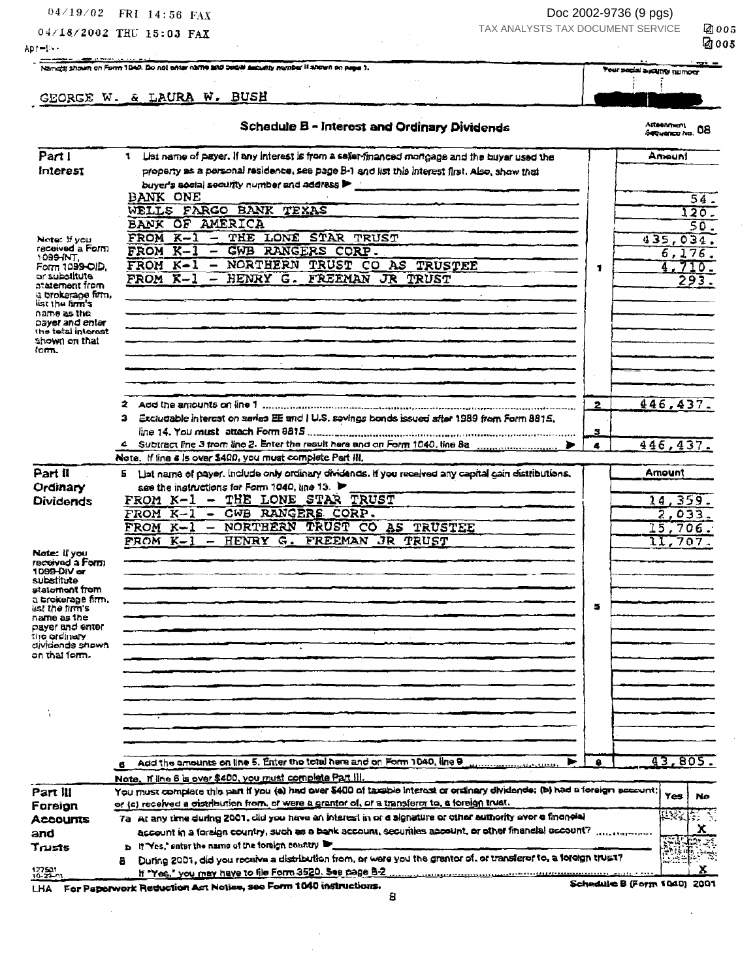$04/19/02$  FRI 14:56 FAX

Apr=liv-

04/18/2002 THU 15:03 FAX

Doc 2002-9736 (9 pgs) TAX ANALYSTS TAX DOCUMENT SERVICE

2005 **@005** 

| Namidal shown on Form 1940. Do not enter name and besite assuming number if shown on page 5, |
|----------------------------------------------------------------------------------------------|
|                                                                                              |

GEORGE W. & LAURA W. BUSH

 $\frac{1}{2}$ Your social ascunty number Ť Ŧ

|  |  | <b>Schadule B - Interest and Ordinary Dividends</b> |
|--|--|-----------------------------------------------------|

 $\mathbb{R}$ 

## Attaenment<br>Segyensz iva, 08

| Part I                                             | 1 List name of payer. If any interest is from a sellur-financed mortgage and the buyer used the                             |                | Amouni           |
|----------------------------------------------------|-----------------------------------------------------------------------------------------------------------------------------|----------------|------------------|
| Interest                                           | property as a personal residence, see page B-1 and list this interest first. Also, show that                                |                |                  |
|                                                    | buyer's social security number and address >                                                                                |                |                  |
|                                                    | BANK ONE                                                                                                                    |                | 54.              |
|                                                    | WELLS FARGO BANK TEXAS                                                                                                      |                | 120.             |
|                                                    | BANK OF AMERICA                                                                                                             |                | 50.              |
| Note: 11 you                                       | THE LONE STAR TRUST<br>FROM K-1<br>$\equiv$                                                                                 |                | 435,034.         |
| received a Form<br>109 <del>9 INT</del> ,          | FROM K-1<br>GWB RANGERS CORP.                                                                                               |                | 6,176.           |
| Form 1099-OID.                                     | - NORTHERN TRUST CO AS TRUSTEE<br>FROM K-l                                                                                  | 1              | 4.710.           |
| or substitute<br>statement from                    | FROM K-1<br>- HENRY G. FREEMAN JR TRUST                                                                                     |                | 293.             |
| a brokarane firm,<br>list the firm's               |                                                                                                                             |                |                  |
| name as the                                        |                                                                                                                             |                |                  |
| payer and enler<br>the total interest              |                                                                                                                             |                |                  |
| shown on that                                      |                                                                                                                             |                |                  |
| łom.                                               |                                                                                                                             |                |                  |
|                                                    | $\sim$                                                                                                                      |                |                  |
|                                                    |                                                                                                                             |                |                  |
|                                                    |                                                                                                                             |                |                  |
|                                                    | 3 Excludable interest on saries EE and I U.S. sovings bonds issued after 1989 from Form 8815.                               | $\overline{2}$ | 446, 437         |
|                                                    |                                                                                                                             | я              |                  |
|                                                    | 4 Subtract line 3 from line 2. Enter the result here and on Form 1040, line 8a                                              | 4              | 446, 437.        |
|                                                    | Note, if line a is over \$400, you must complete Part III,                                                                  |                |                  |
| Part II                                            | 5 List name of payer, include only ordinary dividends. If you received any capital gain distributions,                      |                | Amount           |
| Ordinary                                           | see the instructions for Form 1040, line 13.                                                                                |                |                  |
| Dividends                                          | THE LONE STAR TRUST<br>$FROM K-1$ -                                                                                         |                | 14,359.          |
|                                                    | - GWB RANGERS CORP.<br>FROM K-1                                                                                             |                | 2.033            |
|                                                    | - NORTHERN TRUST CO AS TRUSTEE<br>FROM K-1                                                                                  |                | 15,706.          |
|                                                    | PROM K-1<br>- HENRY G. FREEMAN JR TRUST                                                                                     |                | 11,707           |
| Note: if you                                       |                                                                                                                             |                |                  |
| re <del>ceiv</del> ed <b>a Form</b><br>1099-DIV or |                                                                                                                             |                |                  |
| substitute                                         |                                                                                                                             |                |                  |
| stalome <b>nt from</b><br>a brokerage firm.        |                                                                                                                             |                |                  |
| ist the firm's                                     |                                                                                                                             | 5              |                  |
| name as the<br>payer and enter                     |                                                                                                                             |                |                  |
| the ardinary                                       |                                                                                                                             |                |                  |
| dividends shown<br>on that form.                   |                                                                                                                             |                |                  |
|                                                    |                                                                                                                             |                |                  |
|                                                    |                                                                                                                             |                |                  |
|                                                    |                                                                                                                             |                |                  |
|                                                    |                                                                                                                             |                |                  |
|                                                    |                                                                                                                             |                |                  |
|                                                    |                                                                                                                             |                |                  |
|                                                    |                                                                                                                             |                |                  |
|                                                    | Add the amounts on line 5. Enter the total here and on Form 1040, line 9                                                    | ٥              | 43,805.          |
|                                                    | Note, If line 6 is over \$400, you must complete Part !!!.                                                                  |                |                  |
| Part III                                           | You must complete this part if you (a) had over \$400 of taxable interest or ordinary dividends; (b) had a foreign account; |                | <b>Yes</b><br>No |
| Foreign                                            | or (c) received a distribution from, or were a grantor of, or a transferor to, a foreign trust.                             |                |                  |
| <b>Accounts</b>                                    | 7a At any time during 2001, did you have an interest in or a signature or other authority over a financial                  |                | L ta             |
| and                                                | account in a foreign country, such as a bank account, securities account, or other financial occount?                       |                | х                |
| Trusts                                             | h It Yes," enter the name of the foreign country                                                                            |                |                  |
|                                                    | During 2001, did you recaive a distribution from, or were you the grantor of, or transferor to, a foreign trus t?<br>8.     |                |                  |
| $^{127501}_{10-22.01}$                             |                                                                                                                             |                | x                |

LHA For Paperwork Reduction Act Notice, see Form 1040 instructions.

Schedule B (Form 1040) 2001

 $\mathbf S$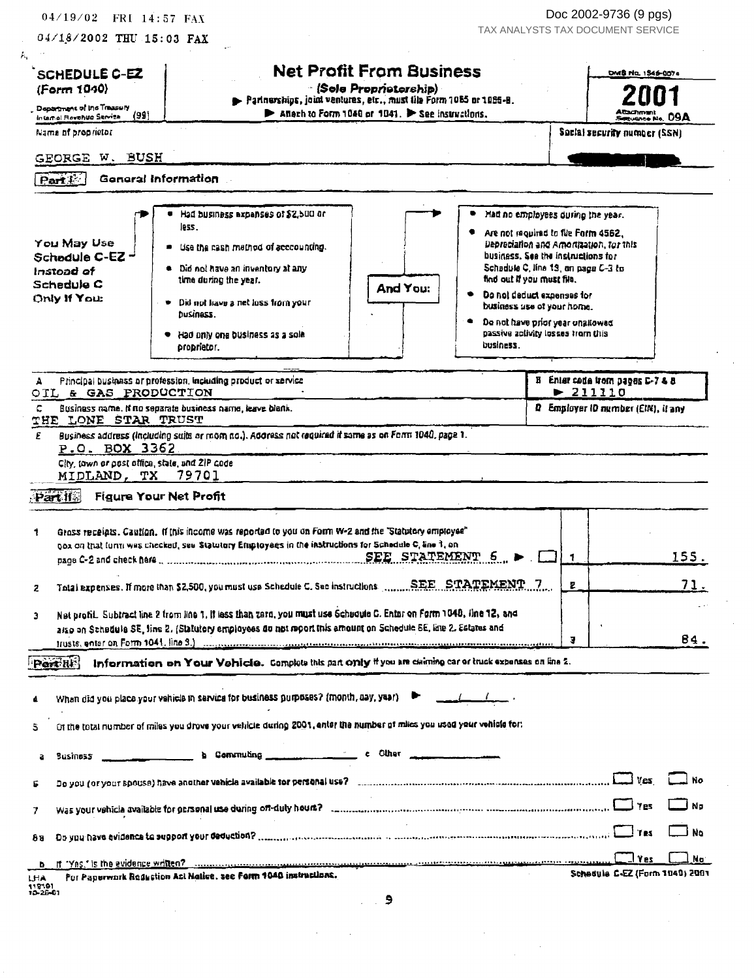| <b>SCHEDULE C-EZ</b>                                             |                                                                                                                                                                                                                                |                              |                                    |                             |
|------------------------------------------------------------------|--------------------------------------------------------------------------------------------------------------------------------------------------------------------------------------------------------------------------------|------------------------------|------------------------------------|-----------------------------|
|                                                                  | <b>Net Profit From Business</b>                                                                                                                                                                                                |                              | DMS No. 1546-0074                  |                             |
| (Form 1040)                                                      | - (Sole Propristorship) -<br>Parlnerships, joint ventures, etc., must tile Form 1085 or 1085-B.                                                                                                                                |                              |                                    |                             |
| , Department of Ins Treasery<br>(99)<br>Internal Revenue Service | Anach to Form 1040 or 1041. > See instructions.                                                                                                                                                                                |                              | <b>SRUGHOR No. DOA</b>             |                             |
| Name of proprietor                                               |                                                                                                                                                                                                                                |                              | Social security number (SSN)       |                             |
| GEORGE W. BUSH                                                   |                                                                                                                                                                                                                                |                              |                                    |                             |
| Part <sup>1</sup>                                                | <b>General Information</b>                                                                                                                                                                                                     |                              |                                    |                             |
|                                                                  |                                                                                                                                                                                                                                |                              |                                    |                             |
|                                                                  | Had business expenses of \$2,500 or<br>Had no employees during the year.<br>less.                                                                                                                                              |                              |                                    |                             |
| You May Use                                                      | Are not required to file Form 4562.<br>Depreciation and Amortization, for this<br>Use the cash method of acccounting.                                                                                                          |                              |                                    |                             |
| Schedule C-EZ-                                                   | business. See the instructions for                                                                                                                                                                                             |                              |                                    |                             |
| Instead of                                                       | Schedule C, line 13, on page C-3 to<br>● Did not have an inventory at any<br>tind out if you must file.<br>time during the year.                                                                                               |                              |                                    |                             |
| Schedule C<br>Only If You:                                       | And You:<br>Do not deduct expenses for                                                                                                                                                                                         |                              |                                    |                             |
|                                                                  | Did not have a net loss from your<br>business use of your home.<br>DuSiness.                                                                                                                                                   |                              |                                    |                             |
|                                                                  | De not have prior year unallowed                                                                                                                                                                                               |                              |                                    |                             |
|                                                                  | passive activity losses from this<br>Had only one business as a sole<br>business.<br>. atsirdor.                                                                                                                               |                              |                                    |                             |
|                                                                  |                                                                                                                                                                                                                                |                              |                                    |                             |
| А                                                                | Principal business or profession, including product or service                                                                                                                                                                 |                              | B Enter code from pages C-7 & 8    |                             |
| OIL & GAS PRODUCTION                                             |                                                                                                                                                                                                                                | $\blacktriangleright$ 211110 |                                    |                             |
| с<br>THE LONE STAR TRUST                                         | Business name. If no separate business name, leave blank.                                                                                                                                                                      |                              | Q Employer ID number (EIN), it any |                             |
| P.O. BOX 3362<br>City, town or post office, state, and ZIP code  |                                                                                                                                                                                                                                |                              |                                    |                             |
| MIDLAND, TX 79701                                                |                                                                                                                                                                                                                                |                              |                                    |                             |
|                                                                  | <b>Figure Your Net Profit</b>                                                                                                                                                                                                  |                              |                                    |                             |
| Part if                                                          |                                                                                                                                                                                                                                |                              |                                    |                             |
|                                                                  | Gross receipts. Caution. If this income was reported to you on Form W-2 and the 'Statutory employee"<br>box on that form wes checked, see Statutory Employees in the instructions for Schadule C, line 1, on                   |                              |                                    |                             |
|                                                                  |                                                                                                                                                                                                                                |                              |                                    |                             |
| 2                                                                |                                                                                                                                                                                                                                |                              |                                    | 155.                        |
|                                                                  | Total expenses. If more than \$2,500, you must use Schedule C. Sec instructions  SEE STATEMENT 7                                                                                                                               |                              |                                    | 71.                         |
|                                                                  | Net profil. Subtract line 2 from line 1, it less than zero, you must use Schedule C. Enter on Form 1040, fine 12, and                                                                                                          |                              |                                    |                             |
|                                                                  | also on Schedule SE, fine 2. (Statutory employees do not report tris amount on Schedule SE, line 2. Estates and                                                                                                                |                              |                                    |                             |
|                                                                  |                                                                                                                                                                                                                                | э                            |                                    | 84.                         |
|                                                                  | Information on Your Vehicle. Complete this part only if you are claiming car or truck expenses on line 2.                                                                                                                      |                              |                                    |                             |
| <b>Part RIS</b>                                                  | When did you place your vahicle in service for business purposes? (month, day, year)                                                                                                                                           |                              |                                    |                             |
|                                                                  | Of the total number of miles you drove your vehicle during 2001, enter the number of miles you used your vehicle for:                                                                                                          |                              |                                    |                             |
| Susiness<br>a                                                    | c Other community of Community of Community of Other community of Other community of Community of Community of Community of Community of Community of Community of Community of Community of Community of Community of Communi |                              |                                    |                             |
|                                                                  | Do you (or your spouse) have another vehicle available for personal use? concernational continuum concernation and meaning of the yes                                                                                          |                              |                                    |                             |
|                                                                  |                                                                                                                                                                                                                                |                              |                                    |                             |
| 81                                                               |                                                                                                                                                                                                                                |                              |                                    |                             |
| b                                                                | For Paperwork Reduction Act Notice, see Form 1040 instructions.                                                                                                                                                                |                              |                                    | J No<br>J Na<br>نγ آ<br>No. |

 $\sim$ 

 $\sim$   $\sim$ 

 $\mathcal{L}(\mathcal{A})$  and  $\mathcal{L}(\mathcal{A})$  .

 $\frac{1}{2}$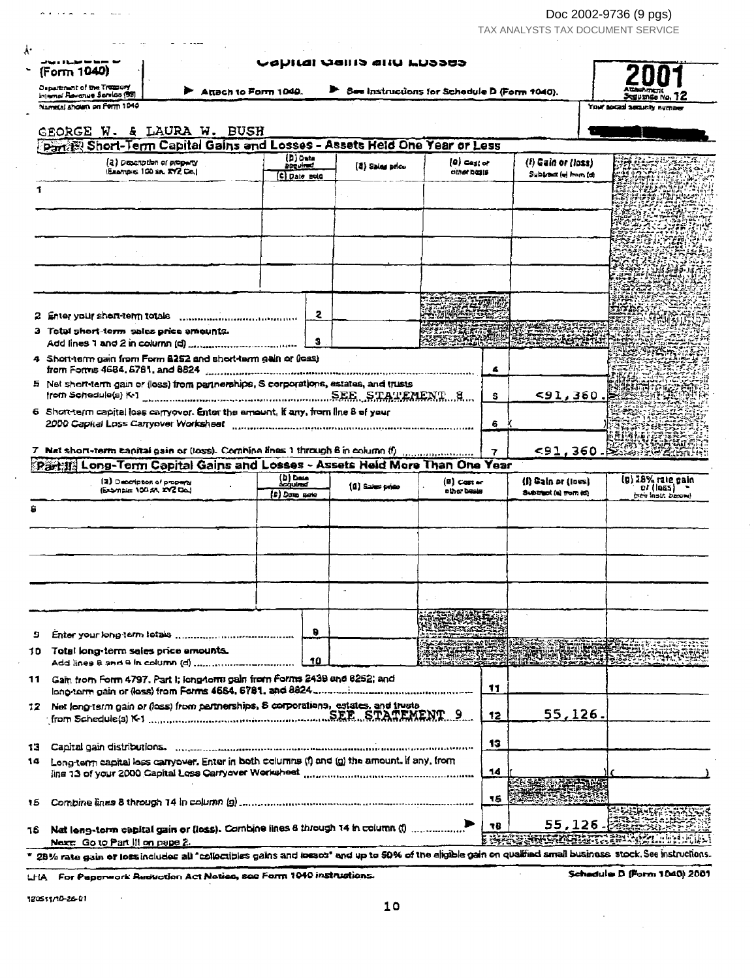TAX ANALYSTS TAX DOCUMENT SERVICE  $\hat{\mathcal{L}}$ 

| (Form 1040)<br><b>Department of the Troppury</b>                                                                                                                             |                                              |    | Capital Quilo aliu Luboco                    |                                |    |                                             |                                                                                                                                                                                                                              |
|------------------------------------------------------------------------------------------------------------------------------------------------------------------------------|----------------------------------------------|----|----------------------------------------------|--------------------------------|----|---------------------------------------------|------------------------------------------------------------------------------------------------------------------------------------------------------------------------------------------------------------------------------|
| Attach to Form 1040.<br>injenal Revanue Sarsico (99)<br>Normal shown on Form 1040                                                                                            |                                              |    | See Instructions for Schedule D (Form 1040). |                                |    |                                             | Seguanga No.<br>Your social security number                                                                                                                                                                                  |
| GEORGE W. & LAURA W. BUSH                                                                                                                                                    |                                              |    |                                              |                                |    |                                             |                                                                                                                                                                                                                              |
| Partis: Short-Term Capital Gains and Losses - Assets Held One Year or Less                                                                                                   |                                              |    |                                              |                                |    |                                             |                                                                                                                                                                                                                              |
| (2) Description of property<br>Example 100 Sn, RYZ Ce.)                                                                                                                      | (D) Data<br><b>Boguired</b><br>(C) Date note |    | (8) Sales price                              | $\{a\}$ Casi of<br>other basis |    | (!) Gain or (loss)<br>Subirect (w) from (d) | ES REX 1                                                                                                                                                                                                                     |
|                                                                                                                                                                              |                                              |    |                                              |                                |    |                                             |                                                                                                                                                                                                                              |
|                                                                                                                                                                              |                                              |    |                                              |                                |    |                                             |                                                                                                                                                                                                                              |
|                                                                                                                                                                              |                                              |    |                                              |                                |    |                                             |                                                                                                                                                                                                                              |
|                                                                                                                                                                              |                                              |    |                                              |                                |    |                                             |                                                                                                                                                                                                                              |
|                                                                                                                                                                              |                                              |    |                                              |                                |    |                                             |                                                                                                                                                                                                                              |
| 3 Total short-term sales price amounts.                                                                                                                                      |                                              | 2  |                                              |                                |    |                                             |                                                                                                                                                                                                                              |
|                                                                                                                                                                              |                                              | э  |                                              |                                |    |                                             |                                                                                                                                                                                                                              |
| 4 Short-term gain from Form 6252 and short-term gain or (loss)<br>from Forms 4684, 6781, and 8824                                                                            |                                              |    |                                              |                                | 4  |                                             |                                                                                                                                                                                                                              |
| 5 Net short-term gain or (loss) from partnerships, S corporations, estates, and trusts<br>from Schedule(s) K.1 Entertainment of the SEE STATEMENT 8                          |                                              |    |                                              |                                | 5  | 591,360.                                    |                                                                                                                                                                                                                              |
| 6 Shoretern capital loss carryover. Enter the amount, if any, from line 8 of your<br>2000 Capital Loss Carryover Worksheet manufacture communication continuum communication |                                              |    |                                              |                                | 6  |                                             |                                                                                                                                                                                                                              |
|                                                                                                                                                                              |                                              |    |                                              |                                |    |                                             | 植叶花绿红素                                                                                                                                                                                                                       |
| 7 Net short-term capital gain or (loss). Combine lines 1 through 6 in column (f)-                                                                                            |                                              |    |                                              |                                | 7  |                                             | <91,360. ※◎浪漫激光                                                                                                                                                                                                              |
|                                                                                                                                                                              |                                              |    |                                              |                                |    |                                             |                                                                                                                                                                                                                              |
| (2) Description of property                                                                                                                                                  | (b) Daie<br><i><b>Scoulmed</b></i>           |    |                                              | (B) Caster                     |    | (I) Gain or (Ioss)                          |                                                                                                                                                                                                                              |
| Partifi Long-Term Capital Gains and Losses - Assets Held More Than One Year<br>(Example: 100 sA, XYZ DoJ                                                                     | (D) Data sata                                |    | $(0)$ Sales price                            | other besis                    |    | Subtract (a) from (d)                       | $01$ ( $055$ ) $-$<br><b>Stainst.</b> Darow)                                                                                                                                                                                 |
|                                                                                                                                                                              |                                              |    |                                              |                                |    |                                             |                                                                                                                                                                                                                              |
|                                                                                                                                                                              |                                              |    |                                              |                                |    |                                             |                                                                                                                                                                                                                              |
|                                                                                                                                                                              |                                              |    |                                              |                                |    |                                             |                                                                                                                                                                                                                              |
|                                                                                                                                                                              |                                              |    |                                              |                                |    |                                             |                                                                                                                                                                                                                              |
|                                                                                                                                                                              |                                              |    |                                              |                                |    |                                             |                                                                                                                                                                                                                              |
|                                                                                                                                                                              |                                              | Ð  |                                              |                                |    |                                             |                                                                                                                                                                                                                              |
| Total long-term sales price amounts.                                                                                                                                         |                                              | 10 |                                              |                                |    |                                             |                                                                                                                                                                                                                              |
|                                                                                                                                                                              |                                              |    |                                              |                                | 11 |                                             |                                                                                                                                                                                                                              |
|                                                                                                                                                                              |                                              |    |                                              |                                | 12 | $55,126$ .                                  |                                                                                                                                                                                                                              |
|                                                                                                                                                                              |                                              |    |                                              |                                |    |                                             |                                                                                                                                                                                                                              |
| Long-term capital loss carryover. Enter in both columns (f) and (g) the amount. If any, from                                                                                 |                                              |    |                                              |                                | 13 |                                             |                                                                                                                                                                                                                              |
| ling 13 of your 2000 Capital Loss Carryover Worksheet manufacturer control control control control control of                                                                |                                              |    |                                              |                                | 14 |                                             |                                                                                                                                                                                                                              |
| 11 Gain from Form 4797. Part I; long4omi gain from Forms 2439 and 6252; and<br>12 Net long-term gain or (loss) from partnerships, 8 corporations, estates, and trusts        |                                              |    |                                              |                                | 16 |                                             | (n) 28% rate gain                                                                                                                                                                                                            |
| Nat leng-term capital gain or (less). Combine lines 6 through 14 in column (1)                                                                                               |                                              |    |                                              |                                | 78 | 55,126.<br><b>THERMISSICS</b>               | $\mathcal{L}^{\mathcal{L}}\left( \mathcal{L}^{\mathcal{L}}_{\mathcal{L}^{\mathcal{L}}} \right) = \mathcal{L}^{\mathcal{L}}_{\mathcal{L}^{\mathcal{L}}} \left( \mathcal{L}^{\mathcal{L}}_{\mathcal{L}^{\mathcal{L}}} \right)$ |

Reduction Ac ap

12051110-26-01

 $\cdot$ 

سياستنبذ

 $\sim$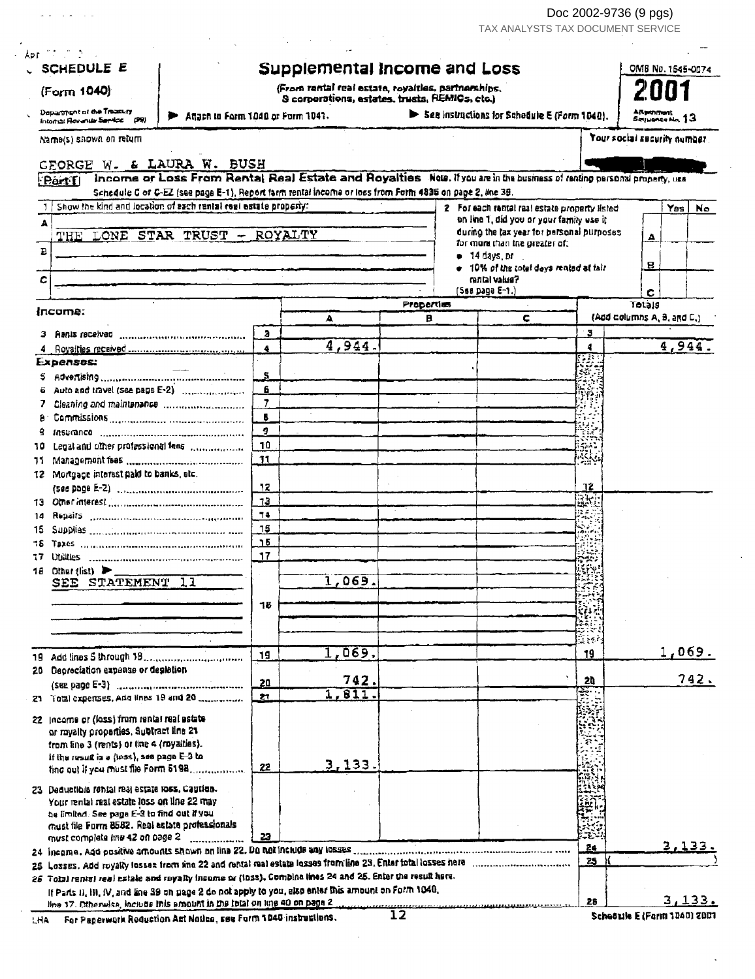Doc 2002-9736 (9 pgs)<br>TAX ANALYSTS TAX DOCUMENT SERVICE

| SCHEDULE E                                                  |                                                                                                                                                                                                                            |                                   | Supplemental Income and Loss                                                                         |            |                            |                                                                                        |                       | OMB No. 1545-0074            |
|-------------------------------------------------------------|----------------------------------------------------------------------------------------------------------------------------------------------------------------------------------------------------------------------------|-----------------------------------|------------------------------------------------------------------------------------------------------|------------|----------------------------|----------------------------------------------------------------------------------------|-----------------------|------------------------------|
| (Form 1040)                                                 |                                                                                                                                                                                                                            |                                   | (From rental real estate, royalties, partnerships,<br>S corporations, estates, trusts, REMICs, etc.) |            |                            |                                                                                        |                       |                              |
| Department of the Treasury<br>Intornal Revenue Service (99) |                                                                                                                                                                                                                            | Afiach in Form 1040 or Form 1041. |                                                                                                      |            |                            | See instructions for Schedule E (Form 1040).                                           |                       | ARpenment<br>Serpence No. 13 |
| Name(s) shown on return                                     |                                                                                                                                                                                                                            |                                   |                                                                                                      |            |                            |                                                                                        |                       | Your social security number  |
|                                                             | GEORGE W. & LAURA W. BUSH                                                                                                                                                                                                  |                                   |                                                                                                      |            |                            |                                                                                        |                       |                              |
| Part I                                                      | Income or Loss From Rental Real Estate and Royalties New. If you are in the business of renting personal property, use                                                                                                     |                                   |                                                                                                      |            |                            |                                                                                        |                       |                              |
|                                                             | Schedule C of C-EZ (see page E-1), Report farm rental income or loss from Form 4835 on pape 2, line 39.                                                                                                                    |                                   |                                                                                                      |            |                            |                                                                                        |                       |                              |
|                                                             | Show the kind and location of each rental regi estate property:                                                                                                                                                            |                                   |                                                                                                      |            |                            | 2 For each rental real estate property listed                                          |                       | Yes<br>No.                   |
| Δ                                                           |                                                                                                                                                                                                                            |                                   |                                                                                                      |            |                            | on line 1, did you or your family use it<br>during the tax year for personal purposes. |                       |                              |
|                                                             | THE LONE STAR TRUST - ROYALTY                                                                                                                                                                                              |                                   |                                                                                                      |            |                            | for more than the greater of:                                                          |                       | А                            |
| $\, {\bf B}$                                                |                                                                                                                                                                                                                            |                                   |                                                                                                      |            | ● 14 days pr               |                                                                                        |                       | в                            |
| с                                                           |                                                                                                                                                                                                                            |                                   |                                                                                                      |            |                            | . 10% of the total days rented at fair<br><b>Sauley Island</b>                         |                       |                              |
|                                                             |                                                                                                                                                                                                                            |                                   |                                                                                                      |            | $(588 \text{ page } E-1.)$ |                                                                                        |                       | с                            |
| łпcomе:                                                     |                                                                                                                                                                                                                            |                                   |                                                                                                      | Properties |                            |                                                                                        |                       | Totals                       |
|                                                             |                                                                                                                                                                                                                            |                                   | Δ                                                                                                    | в          |                            | с                                                                                      |                       | (Add columns A, B, and C,)   |
|                                                             |                                                                                                                                                                                                                            | a.                                |                                                                                                      |            |                            |                                                                                        | з                     |                              |
|                                                             |                                                                                                                                                                                                                            | 4                                 | 4,944.                                                                                               |            |                            |                                                                                        | 4                     | 4,944                        |
| Expenses:                                                   |                                                                                                                                                                                                                            | s                                 |                                                                                                      |            |                            |                                                                                        | ₹ã.                   |                              |
|                                                             |                                                                                                                                                                                                                            | 6                                 |                                                                                                      |            |                            |                                                                                        |                       |                              |
|                                                             |                                                                                                                                                                                                                            | $\overline{7}$                    |                                                                                                      |            |                            |                                                                                        | 醉                     |                              |
| а                                                           |                                                                                                                                                                                                                            | В                                 |                                                                                                      |            |                            |                                                                                        | rus d<br>÷.           |                              |
| 9                                                           |                                                                                                                                                                                                                            | 9.                                |                                                                                                      |            |                            |                                                                                        |                       |                              |
| 10                                                          | Legal and other professional fees management                                                                                                                                                                               | 10                                |                                                                                                      |            |                            |                                                                                        |                       |                              |
| 71                                                          |                                                                                                                                                                                                                            | 11                                |                                                                                                      |            |                            |                                                                                        | Ŕ.                    |                              |
|                                                             | 12 Mortgage interest paid to banks, etc.                                                                                                                                                                                   |                                   |                                                                                                      |            |                            |                                                                                        |                       |                              |
|                                                             |                                                                                                                                                                                                                            | 12<br>13                          |                                                                                                      |            |                            |                                                                                        | 12                    |                              |
|                                                             | Repairs ……………………………………………                                                                                                                                                                                                  | 74                                |                                                                                                      |            |                            |                                                                                        | ak,<br>$\mathbb{F}_q$ |                              |
| 14<br>15                                                    |                                                                                                                                                                                                                            | 15                                |                                                                                                      |            |                            |                                                                                        | $\mathcal{L}$         |                              |
| 15                                                          |                                                                                                                                                                                                                            | 15                                |                                                                                                      |            |                            |                                                                                        |                       |                              |
| 17                                                          |                                                                                                                                                                                                                            | 17                                |                                                                                                      |            |                            |                                                                                        |                       |                              |
| 18 Other (list) $\blacktriangleright$                       |                                                                                                                                                                                                                            |                                   |                                                                                                      |            |                            |                                                                                        |                       |                              |
|                                                             | SEE STATEMENT 11                                                                                                                                                                                                           |                                   | ,069                                                                                                 |            |                            |                                                                                        |                       |                              |
|                                                             |                                                                                                                                                                                                                            | 18                                |                                                                                                      |            |                            |                                                                                        |                       |                              |
|                                                             |                                                                                                                                                                                                                            |                                   |                                                                                                      |            |                            |                                                                                        |                       |                              |
|                                                             |                                                                                                                                                                                                                            |                                   |                                                                                                      |            |                            |                                                                                        | ્રિકે ક               |                              |
|                                                             |                                                                                                                                                                                                                            | 19                                | 1,069.                                                                                               |            |                            |                                                                                        | 19                    | 1,069.                       |
|                                                             | 20 Depreciation expense or depletion                                                                                                                                                                                       |                                   |                                                                                                      |            |                            |                                                                                        |                       |                              |
|                                                             |                                                                                                                                                                                                                            | 20                                | 742.                                                                                                 |            |                            |                                                                                        | 20                    | 742.                         |
|                                                             | 21 Total experises, Add lines 19 and 20                                                                                                                                                                                    | 27                                | 1,811.                                                                                               |            |                            |                                                                                        | $\mathbb{R}^2$        |                              |
|                                                             | 22 Income or (loss) from rental real estate                                                                                                                                                                                |                                   |                                                                                                      |            |                            |                                                                                        |                       |                              |
|                                                             | or royalty proparties, Subtract line 21                                                                                                                                                                                    |                                   |                                                                                                      |            |                            |                                                                                        |                       |                              |
|                                                             | from line 3 (rents) or line 4 (royalties).                                                                                                                                                                                 |                                   |                                                                                                      |            |                            |                                                                                        |                       |                              |
|                                                             | if the result is a (loss), see page E-3 to<br>ting out if you must file Form 5198                                                                                                                                          | 22                                | 3,133.                                                                                               |            |                            |                                                                                        |                       |                              |
|                                                             |                                                                                                                                                                                                                            |                                   |                                                                                                      |            |                            |                                                                                        |                       |                              |
|                                                             | 23 Deductible rental real estate loss, Caution.                                                                                                                                                                            |                                   |                                                                                                      |            |                            |                                                                                        |                       |                              |
|                                                             | Your rental real estate loss on line 22 may<br>be limited. See page E-3 to find out if you                                                                                                                                 |                                   |                                                                                                      |            |                            |                                                                                        |                       |                              |
|                                                             | must file Form 8582. Real estate professionals                                                                                                                                                                             |                                   |                                                                                                      |            |                            |                                                                                        |                       |                              |
|                                                             | must complete line 42 on page 2                                                                                                                                                                                            | 23                                |                                                                                                      |            |                            |                                                                                        | 24                    | 3,133                        |
|                                                             |                                                                                                                                                                                                                            |                                   |                                                                                                      |            |                            |                                                                                        | 25                    |                              |
|                                                             | 25 Losses. Add royalty losses from line 22 and rental mallestate lesses from line 23. Enter total losses here<br>26 Total rental real estate and royalty income or (inss). Combine lines 24 and 25, Enter the result here. |                                   |                                                                                                      |            |                            |                                                                                        |                       |                              |
|                                                             | If Parts II, III, IV, and line 39 on page 2 do not apply to you, also enter this amount on Form 1040,                                                                                                                      |                                   |                                                                                                      |            |                            |                                                                                        |                       |                              |
|                                                             | time 17. Otherwise, include this emount in the total on line 40 on page 2.                                                                                                                                                 |                                   |                                                                                                      |            |                            |                                                                                        | 28                    | 3,133.                       |

LHA For Paperwork Reduction Art Notice, see Form 1040 instructions.

 $\omega_{\rm{eff}}$  , and  $\omega_{\rm{eff}}$ 

 $\bar{\beta}$ 

Schedule E (Farm 1040) 2001

 $\ddot{\phantom{a}}$ 

 $\ddot{\phantom{a}}$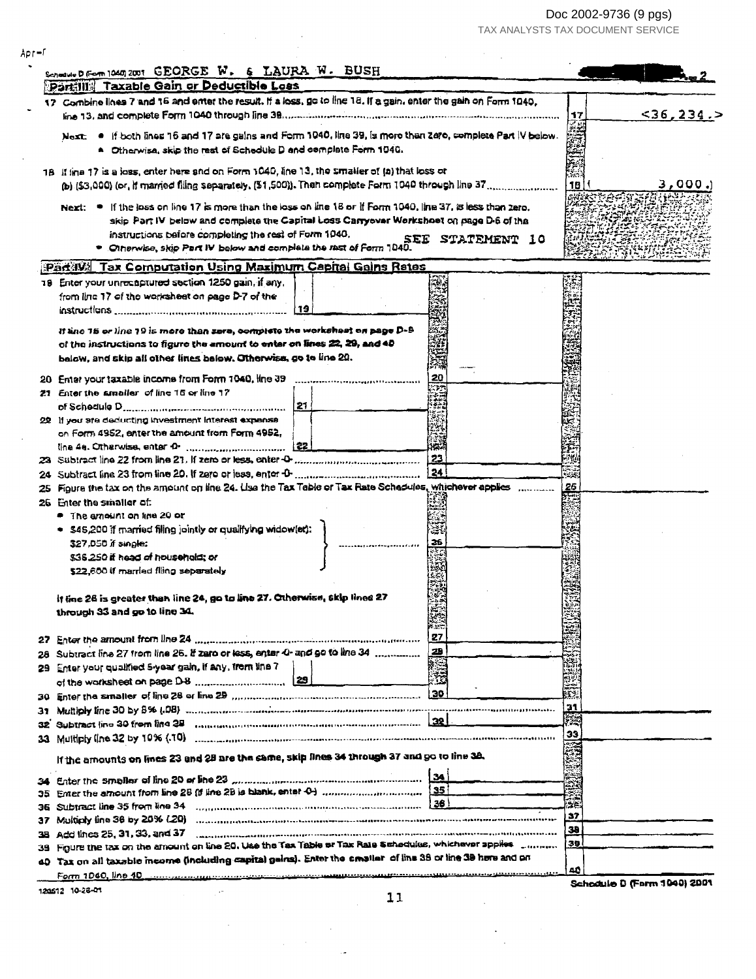Doc 2002-9736 (9 pgs)<br>TAX ANALYSTS TAX DOCUMENT SERVICE

| 17 Combine lines 7 and 16 and enter the result. If a loss, go to line 18. If a gain, enter the gain on Form 1040,<br>17<br>Next: . If both lines 16 and 17 are gains and Form 1040, line 39, is more than zero, complete Part IV below.<br>$\bullet$ Otherwise, skip the rest of Schedule D and complete Form 1040.<br>18 If time 17 is a loss, enter here and on Form 1040, line 13, the smaller of (a) that loss or<br>18<br>Next: $\bullet$ If the loss on line 17 is more than the loss on line 18 or If Form 1040, line 37, is less than zero.<br>skip Part IV below and complete the Capital Loss Carryovar Workshoet on page D-6 of the<br>instructions before completing the rest of Form 1040.<br>SEE STATEMENT 10<br>Otherwise, skip Part IV below and complete the rast of Form 1040.<br>Part IV: Tax Computation Using Maximum Capital Gains Rates<br>19 Enter your unrecaptured section 1250 gain, if any,<br>from line 17 of the worksheet on page D-7 of the<br>19<br>If tine 15 or line 19 is more than zero, complete the worksheet on page D-9<br>of the instructions to figure the amount to enter on lines 22, 29, and 40<br>balow, and skip all other lines below. Otherwise, go to line 20.<br>20<br>20 Enter your taxable income from Form 1040, line 39<br>21 Enter the smaller of line 15 or line 17<br>121<br>22 If you are deducting investment interest expanse<br>on Form 4952, enter the amount from Form 4952,<br>23<br>24<br>25 Figure the tax on the amount on line 24. Use the Tax Table or Tax Rate Schadules, whichever applies<br>26<br>26 Enter the smaller of.<br>● The amount on line 20 or<br>. \$45,200 if married filing jointly or qualifying widow(er):<br>\$27,050 if single:<br>26<br>\$35,250 it head of household: or<br>\$22,600 if married filing separately<br>It fine 26 is greater than line 24, go to line 27. Otherwise, skip lines 27<br>through 33 and go to line 34.<br>27<br>27<br>28<br>Subtract line 27 from line 26. If zero or less, enter 0- and go to line 34<br>28<br>Enter your qualified S-year gain, if any, from line 7<br>29<br>ž<br>30<br>31<br>31<br>Subtract (ine 30 from line 2B suppressive communication communication 22<br>32<br>33<br>If the amounts on lines 23 and 28 are the same, skip lines 34 through 37 and go to line 38.<br>34<br>$\overline{\text{ss}}$<br>35<br> 36 <br>żе.<br>36<br>37<br>37<br>30<br>Add tines 25, 31, 33, and 37 <b>Commission Contract Contract Contract Contract Contract Contract Contract Contract Contract Contract Contract Contract Contract Contract Contract Contract Contract Contract Contract Contract C</b><br>38<br>38<br>Figure the tax on the amount on line 20, Use the Tax Table or Tax Rate Schedules, whichever applies community<br>39.<br>40 Tax on all taxable income (including capital gains). Enter the smaller of line 38 or line 39 here and on<br>40<br>Schodule D (Form 1040) 2001<br>120512 10-28-01<br>11 | Schooler D From 10407 2001 GEORGE W. & LAURA W. BUSH<br>Partilla Taxable Gain or Deductible Loss |  |          |
|----------------------------------------------------------------------------------------------------------------------------------------------------------------------------------------------------------------------------------------------------------------------------------------------------------------------------------------------------------------------------------------------------------------------------------------------------------------------------------------------------------------------------------------------------------------------------------------------------------------------------------------------------------------------------------------------------------------------------------------------------------------------------------------------------------------------------------------------------------------------------------------------------------------------------------------------------------------------------------------------------------------------------------------------------------------------------------------------------------------------------------------------------------------------------------------------------------------------------------------------------------------------------------------------------------------------------------------------------------------------------------------------------------------------------------------------------------------------------------------------------------------------------------------------------------------------------------------------------------------------------------------------------------------------------------------------------------------------------------------------------------------------------------------------------------------------------------------------------------------------------------------------------------------------------------------------------------------------------------------------------------------------------------------------------------------------------------------------------------------------------------------------------------------------------------------------------------------------------------------------------------------------------------------------------------------------------------------------------------------------------------------------------------------------------------------------------------------------------------------------------------------------------------------------------------------------------------------------------------------------------------------------------------------------------------------------------------------------------------------------------------------------------------------------------------------------------------------------------------------------------------------------------------------------------------------------------------|--------------------------------------------------------------------------------------------------|--|----------|
|                                                                                                                                                                                                                                                                                                                                                                                                                                                                                                                                                                                                                                                                                                                                                                                                                                                                                                                                                                                                                                                                                                                                                                                                                                                                                                                                                                                                                                                                                                                                                                                                                                                                                                                                                                                                                                                                                                                                                                                                                                                                                                                                                                                                                                                                                                                                                                                                                                                                                                                                                                                                                                                                                                                                                                                                                                                                                                                                                          |                                                                                                  |  |          |
|                                                                                                                                                                                                                                                                                                                                                                                                                                                                                                                                                                                                                                                                                                                                                                                                                                                                                                                                                                                                                                                                                                                                                                                                                                                                                                                                                                                                                                                                                                                                                                                                                                                                                                                                                                                                                                                                                                                                                                                                                                                                                                                                                                                                                                                                                                                                                                                                                                                                                                                                                                                                                                                                                                                                                                                                                                                                                                                                                          |                                                                                                  |  | <36,234. |
|                                                                                                                                                                                                                                                                                                                                                                                                                                                                                                                                                                                                                                                                                                                                                                                                                                                                                                                                                                                                                                                                                                                                                                                                                                                                                                                                                                                                                                                                                                                                                                                                                                                                                                                                                                                                                                                                                                                                                                                                                                                                                                                                                                                                                                                                                                                                                                                                                                                                                                                                                                                                                                                                                                                                                                                                                                                                                                                                                          |                                                                                                  |  |          |
|                                                                                                                                                                                                                                                                                                                                                                                                                                                                                                                                                                                                                                                                                                                                                                                                                                                                                                                                                                                                                                                                                                                                                                                                                                                                                                                                                                                                                                                                                                                                                                                                                                                                                                                                                                                                                                                                                                                                                                                                                                                                                                                                                                                                                                                                                                                                                                                                                                                                                                                                                                                                                                                                                                                                                                                                                                                                                                                                                          |                                                                                                  |  | 3,000.   |
|                                                                                                                                                                                                                                                                                                                                                                                                                                                                                                                                                                                                                                                                                                                                                                                                                                                                                                                                                                                                                                                                                                                                                                                                                                                                                                                                                                                                                                                                                                                                                                                                                                                                                                                                                                                                                                                                                                                                                                                                                                                                                                                                                                                                                                                                                                                                                                                                                                                                                                                                                                                                                                                                                                                                                                                                                                                                                                                                                          |                                                                                                  |  |          |
|                                                                                                                                                                                                                                                                                                                                                                                                                                                                                                                                                                                                                                                                                                                                                                                                                                                                                                                                                                                                                                                                                                                                                                                                                                                                                                                                                                                                                                                                                                                                                                                                                                                                                                                                                                                                                                                                                                                                                                                                                                                                                                                                                                                                                                                                                                                                                                                                                                                                                                                                                                                                                                                                                                                                                                                                                                                                                                                                                          |                                                                                                  |  |          |
|                                                                                                                                                                                                                                                                                                                                                                                                                                                                                                                                                                                                                                                                                                                                                                                                                                                                                                                                                                                                                                                                                                                                                                                                                                                                                                                                                                                                                                                                                                                                                                                                                                                                                                                                                                                                                                                                                                                                                                                                                                                                                                                                                                                                                                                                                                                                                                                                                                                                                                                                                                                                                                                                                                                                                                                                                                                                                                                                                          |                                                                                                  |  |          |
|                                                                                                                                                                                                                                                                                                                                                                                                                                                                                                                                                                                                                                                                                                                                                                                                                                                                                                                                                                                                                                                                                                                                                                                                                                                                                                                                                                                                                                                                                                                                                                                                                                                                                                                                                                                                                                                                                                                                                                                                                                                                                                                                                                                                                                                                                                                                                                                                                                                                                                                                                                                                                                                                                                                                                                                                                                                                                                                                                          |                                                                                                  |  |          |
|                                                                                                                                                                                                                                                                                                                                                                                                                                                                                                                                                                                                                                                                                                                                                                                                                                                                                                                                                                                                                                                                                                                                                                                                                                                                                                                                                                                                                                                                                                                                                                                                                                                                                                                                                                                                                                                                                                                                                                                                                                                                                                                                                                                                                                                                                                                                                                                                                                                                                                                                                                                                                                                                                                                                                                                                                                                                                                                                                          |                                                                                                  |  |          |
|                                                                                                                                                                                                                                                                                                                                                                                                                                                                                                                                                                                                                                                                                                                                                                                                                                                                                                                                                                                                                                                                                                                                                                                                                                                                                                                                                                                                                                                                                                                                                                                                                                                                                                                                                                                                                                                                                                                                                                                                                                                                                                                                                                                                                                                                                                                                                                                                                                                                                                                                                                                                                                                                                                                                                                                                                                                                                                                                                          |                                                                                                  |  |          |
|                                                                                                                                                                                                                                                                                                                                                                                                                                                                                                                                                                                                                                                                                                                                                                                                                                                                                                                                                                                                                                                                                                                                                                                                                                                                                                                                                                                                                                                                                                                                                                                                                                                                                                                                                                                                                                                                                                                                                                                                                                                                                                                                                                                                                                                                                                                                                                                                                                                                                                                                                                                                                                                                                                                                                                                                                                                                                                                                                          |                                                                                                  |  |          |
|                                                                                                                                                                                                                                                                                                                                                                                                                                                                                                                                                                                                                                                                                                                                                                                                                                                                                                                                                                                                                                                                                                                                                                                                                                                                                                                                                                                                                                                                                                                                                                                                                                                                                                                                                                                                                                                                                                                                                                                                                                                                                                                                                                                                                                                                                                                                                                                                                                                                                                                                                                                                                                                                                                                                                                                                                                                                                                                                                          |                                                                                                  |  |          |
|                                                                                                                                                                                                                                                                                                                                                                                                                                                                                                                                                                                                                                                                                                                                                                                                                                                                                                                                                                                                                                                                                                                                                                                                                                                                                                                                                                                                                                                                                                                                                                                                                                                                                                                                                                                                                                                                                                                                                                                                                                                                                                                                                                                                                                                                                                                                                                                                                                                                                                                                                                                                                                                                                                                                                                                                                                                                                                                                                          |                                                                                                  |  |          |
|                                                                                                                                                                                                                                                                                                                                                                                                                                                                                                                                                                                                                                                                                                                                                                                                                                                                                                                                                                                                                                                                                                                                                                                                                                                                                                                                                                                                                                                                                                                                                                                                                                                                                                                                                                                                                                                                                                                                                                                                                                                                                                                                                                                                                                                                                                                                                                                                                                                                                                                                                                                                                                                                                                                                                                                                                                                                                                                                                          |                                                                                                  |  |          |
|                                                                                                                                                                                                                                                                                                                                                                                                                                                                                                                                                                                                                                                                                                                                                                                                                                                                                                                                                                                                                                                                                                                                                                                                                                                                                                                                                                                                                                                                                                                                                                                                                                                                                                                                                                                                                                                                                                                                                                                                                                                                                                                                                                                                                                                                                                                                                                                                                                                                                                                                                                                                                                                                                                                                                                                                                                                                                                                                                          |                                                                                                  |  |          |
|                                                                                                                                                                                                                                                                                                                                                                                                                                                                                                                                                                                                                                                                                                                                                                                                                                                                                                                                                                                                                                                                                                                                                                                                                                                                                                                                                                                                                                                                                                                                                                                                                                                                                                                                                                                                                                                                                                                                                                                                                                                                                                                                                                                                                                                                                                                                                                                                                                                                                                                                                                                                                                                                                                                                                                                                                                                                                                                                                          |                                                                                                  |  |          |
|                                                                                                                                                                                                                                                                                                                                                                                                                                                                                                                                                                                                                                                                                                                                                                                                                                                                                                                                                                                                                                                                                                                                                                                                                                                                                                                                                                                                                                                                                                                                                                                                                                                                                                                                                                                                                                                                                                                                                                                                                                                                                                                                                                                                                                                                                                                                                                                                                                                                                                                                                                                                                                                                                                                                                                                                                                                                                                                                                          |                                                                                                  |  |          |
|                                                                                                                                                                                                                                                                                                                                                                                                                                                                                                                                                                                                                                                                                                                                                                                                                                                                                                                                                                                                                                                                                                                                                                                                                                                                                                                                                                                                                                                                                                                                                                                                                                                                                                                                                                                                                                                                                                                                                                                                                                                                                                                                                                                                                                                                                                                                                                                                                                                                                                                                                                                                                                                                                                                                                                                                                                                                                                                                                          |                                                                                                  |  |          |
|                                                                                                                                                                                                                                                                                                                                                                                                                                                                                                                                                                                                                                                                                                                                                                                                                                                                                                                                                                                                                                                                                                                                                                                                                                                                                                                                                                                                                                                                                                                                                                                                                                                                                                                                                                                                                                                                                                                                                                                                                                                                                                                                                                                                                                                                                                                                                                                                                                                                                                                                                                                                                                                                                                                                                                                                                                                                                                                                                          |                                                                                                  |  |          |
|                                                                                                                                                                                                                                                                                                                                                                                                                                                                                                                                                                                                                                                                                                                                                                                                                                                                                                                                                                                                                                                                                                                                                                                                                                                                                                                                                                                                                                                                                                                                                                                                                                                                                                                                                                                                                                                                                                                                                                                                                                                                                                                                                                                                                                                                                                                                                                                                                                                                                                                                                                                                                                                                                                                                                                                                                                                                                                                                                          |                                                                                                  |  |          |
|                                                                                                                                                                                                                                                                                                                                                                                                                                                                                                                                                                                                                                                                                                                                                                                                                                                                                                                                                                                                                                                                                                                                                                                                                                                                                                                                                                                                                                                                                                                                                                                                                                                                                                                                                                                                                                                                                                                                                                                                                                                                                                                                                                                                                                                                                                                                                                                                                                                                                                                                                                                                                                                                                                                                                                                                                                                                                                                                                          |                                                                                                  |  |          |
|                                                                                                                                                                                                                                                                                                                                                                                                                                                                                                                                                                                                                                                                                                                                                                                                                                                                                                                                                                                                                                                                                                                                                                                                                                                                                                                                                                                                                                                                                                                                                                                                                                                                                                                                                                                                                                                                                                                                                                                                                                                                                                                                                                                                                                                                                                                                                                                                                                                                                                                                                                                                                                                                                                                                                                                                                                                                                                                                                          |                                                                                                  |  |          |
|                                                                                                                                                                                                                                                                                                                                                                                                                                                                                                                                                                                                                                                                                                                                                                                                                                                                                                                                                                                                                                                                                                                                                                                                                                                                                                                                                                                                                                                                                                                                                                                                                                                                                                                                                                                                                                                                                                                                                                                                                                                                                                                                                                                                                                                                                                                                                                                                                                                                                                                                                                                                                                                                                                                                                                                                                                                                                                                                                          |                                                                                                  |  |          |
|                                                                                                                                                                                                                                                                                                                                                                                                                                                                                                                                                                                                                                                                                                                                                                                                                                                                                                                                                                                                                                                                                                                                                                                                                                                                                                                                                                                                                                                                                                                                                                                                                                                                                                                                                                                                                                                                                                                                                                                                                                                                                                                                                                                                                                                                                                                                                                                                                                                                                                                                                                                                                                                                                                                                                                                                                                                                                                                                                          |                                                                                                  |  |          |
|                                                                                                                                                                                                                                                                                                                                                                                                                                                                                                                                                                                                                                                                                                                                                                                                                                                                                                                                                                                                                                                                                                                                                                                                                                                                                                                                                                                                                                                                                                                                                                                                                                                                                                                                                                                                                                                                                                                                                                                                                                                                                                                                                                                                                                                                                                                                                                                                                                                                                                                                                                                                                                                                                                                                                                                                                                                                                                                                                          |                                                                                                  |  |          |
|                                                                                                                                                                                                                                                                                                                                                                                                                                                                                                                                                                                                                                                                                                                                                                                                                                                                                                                                                                                                                                                                                                                                                                                                                                                                                                                                                                                                                                                                                                                                                                                                                                                                                                                                                                                                                                                                                                                                                                                                                                                                                                                                                                                                                                                                                                                                                                                                                                                                                                                                                                                                                                                                                                                                                                                                                                                                                                                                                          |                                                                                                  |  |          |
|                                                                                                                                                                                                                                                                                                                                                                                                                                                                                                                                                                                                                                                                                                                                                                                                                                                                                                                                                                                                                                                                                                                                                                                                                                                                                                                                                                                                                                                                                                                                                                                                                                                                                                                                                                                                                                                                                                                                                                                                                                                                                                                                                                                                                                                                                                                                                                                                                                                                                                                                                                                                                                                                                                                                                                                                                                                                                                                                                          |                                                                                                  |  |          |
|                                                                                                                                                                                                                                                                                                                                                                                                                                                                                                                                                                                                                                                                                                                                                                                                                                                                                                                                                                                                                                                                                                                                                                                                                                                                                                                                                                                                                                                                                                                                                                                                                                                                                                                                                                                                                                                                                                                                                                                                                                                                                                                                                                                                                                                                                                                                                                                                                                                                                                                                                                                                                                                                                                                                                                                                                                                                                                                                                          |                                                                                                  |  |          |
|                                                                                                                                                                                                                                                                                                                                                                                                                                                                                                                                                                                                                                                                                                                                                                                                                                                                                                                                                                                                                                                                                                                                                                                                                                                                                                                                                                                                                                                                                                                                                                                                                                                                                                                                                                                                                                                                                                                                                                                                                                                                                                                                                                                                                                                                                                                                                                                                                                                                                                                                                                                                                                                                                                                                                                                                                                                                                                                                                          |                                                                                                  |  |          |
|                                                                                                                                                                                                                                                                                                                                                                                                                                                                                                                                                                                                                                                                                                                                                                                                                                                                                                                                                                                                                                                                                                                                                                                                                                                                                                                                                                                                                                                                                                                                                                                                                                                                                                                                                                                                                                                                                                                                                                                                                                                                                                                                                                                                                                                                                                                                                                                                                                                                                                                                                                                                                                                                                                                                                                                                                                                                                                                                                          |                                                                                                  |  |          |
|                                                                                                                                                                                                                                                                                                                                                                                                                                                                                                                                                                                                                                                                                                                                                                                                                                                                                                                                                                                                                                                                                                                                                                                                                                                                                                                                                                                                                                                                                                                                                                                                                                                                                                                                                                                                                                                                                                                                                                                                                                                                                                                                                                                                                                                                                                                                                                                                                                                                                                                                                                                                                                                                                                                                                                                                                                                                                                                                                          |                                                                                                  |  |          |
|                                                                                                                                                                                                                                                                                                                                                                                                                                                                                                                                                                                                                                                                                                                                                                                                                                                                                                                                                                                                                                                                                                                                                                                                                                                                                                                                                                                                                                                                                                                                                                                                                                                                                                                                                                                                                                                                                                                                                                                                                                                                                                                                                                                                                                                                                                                                                                                                                                                                                                                                                                                                                                                                                                                                                                                                                                                                                                                                                          |                                                                                                  |  |          |
|                                                                                                                                                                                                                                                                                                                                                                                                                                                                                                                                                                                                                                                                                                                                                                                                                                                                                                                                                                                                                                                                                                                                                                                                                                                                                                                                                                                                                                                                                                                                                                                                                                                                                                                                                                                                                                                                                                                                                                                                                                                                                                                                                                                                                                                                                                                                                                                                                                                                                                                                                                                                                                                                                                                                                                                                                                                                                                                                                          |                                                                                                  |  |          |
|                                                                                                                                                                                                                                                                                                                                                                                                                                                                                                                                                                                                                                                                                                                                                                                                                                                                                                                                                                                                                                                                                                                                                                                                                                                                                                                                                                                                                                                                                                                                                                                                                                                                                                                                                                                                                                                                                                                                                                                                                                                                                                                                                                                                                                                                                                                                                                                                                                                                                                                                                                                                                                                                                                                                                                                                                                                                                                                                                          |                                                                                                  |  |          |
|                                                                                                                                                                                                                                                                                                                                                                                                                                                                                                                                                                                                                                                                                                                                                                                                                                                                                                                                                                                                                                                                                                                                                                                                                                                                                                                                                                                                                                                                                                                                                                                                                                                                                                                                                                                                                                                                                                                                                                                                                                                                                                                                                                                                                                                                                                                                                                                                                                                                                                                                                                                                                                                                                                                                                                                                                                                                                                                                                          |                                                                                                  |  |          |
|                                                                                                                                                                                                                                                                                                                                                                                                                                                                                                                                                                                                                                                                                                                                                                                                                                                                                                                                                                                                                                                                                                                                                                                                                                                                                                                                                                                                                                                                                                                                                                                                                                                                                                                                                                                                                                                                                                                                                                                                                                                                                                                                                                                                                                                                                                                                                                                                                                                                                                                                                                                                                                                                                                                                                                                                                                                                                                                                                          |                                                                                                  |  |          |
|                                                                                                                                                                                                                                                                                                                                                                                                                                                                                                                                                                                                                                                                                                                                                                                                                                                                                                                                                                                                                                                                                                                                                                                                                                                                                                                                                                                                                                                                                                                                                                                                                                                                                                                                                                                                                                                                                                                                                                                                                                                                                                                                                                                                                                                                                                                                                                                                                                                                                                                                                                                                                                                                                                                                                                                                                                                                                                                                                          |                                                                                                  |  |          |
|                                                                                                                                                                                                                                                                                                                                                                                                                                                                                                                                                                                                                                                                                                                                                                                                                                                                                                                                                                                                                                                                                                                                                                                                                                                                                                                                                                                                                                                                                                                                                                                                                                                                                                                                                                                                                                                                                                                                                                                                                                                                                                                                                                                                                                                                                                                                                                                                                                                                                                                                                                                                                                                                                                                                                                                                                                                                                                                                                          |                                                                                                  |  |          |
|                                                                                                                                                                                                                                                                                                                                                                                                                                                                                                                                                                                                                                                                                                                                                                                                                                                                                                                                                                                                                                                                                                                                                                                                                                                                                                                                                                                                                                                                                                                                                                                                                                                                                                                                                                                                                                                                                                                                                                                                                                                                                                                                                                                                                                                                                                                                                                                                                                                                                                                                                                                                                                                                                                                                                                                                                                                                                                                                                          |                                                                                                  |  |          |
|                                                                                                                                                                                                                                                                                                                                                                                                                                                                                                                                                                                                                                                                                                                                                                                                                                                                                                                                                                                                                                                                                                                                                                                                                                                                                                                                                                                                                                                                                                                                                                                                                                                                                                                                                                                                                                                                                                                                                                                                                                                                                                                                                                                                                                                                                                                                                                                                                                                                                                                                                                                                                                                                                                                                                                                                                                                                                                                                                          |                                                                                                  |  |          |
|                                                                                                                                                                                                                                                                                                                                                                                                                                                                                                                                                                                                                                                                                                                                                                                                                                                                                                                                                                                                                                                                                                                                                                                                                                                                                                                                                                                                                                                                                                                                                                                                                                                                                                                                                                                                                                                                                                                                                                                                                                                                                                                                                                                                                                                                                                                                                                                                                                                                                                                                                                                                                                                                                                                                                                                                                                                                                                                                                          |                                                                                                  |  |          |
|                                                                                                                                                                                                                                                                                                                                                                                                                                                                                                                                                                                                                                                                                                                                                                                                                                                                                                                                                                                                                                                                                                                                                                                                                                                                                                                                                                                                                                                                                                                                                                                                                                                                                                                                                                                                                                                                                                                                                                                                                                                                                                                                                                                                                                                                                                                                                                                                                                                                                                                                                                                                                                                                                                                                                                                                                                                                                                                                                          |                                                                                                  |  |          |
|                                                                                                                                                                                                                                                                                                                                                                                                                                                                                                                                                                                                                                                                                                                                                                                                                                                                                                                                                                                                                                                                                                                                                                                                                                                                                                                                                                                                                                                                                                                                                                                                                                                                                                                                                                                                                                                                                                                                                                                                                                                                                                                                                                                                                                                                                                                                                                                                                                                                                                                                                                                                                                                                                                                                                                                                                                                                                                                                                          |                                                                                                  |  |          |
|                                                                                                                                                                                                                                                                                                                                                                                                                                                                                                                                                                                                                                                                                                                                                                                                                                                                                                                                                                                                                                                                                                                                                                                                                                                                                                                                                                                                                                                                                                                                                                                                                                                                                                                                                                                                                                                                                                                                                                                                                                                                                                                                                                                                                                                                                                                                                                                                                                                                                                                                                                                                                                                                                                                                                                                                                                                                                                                                                          |                                                                                                  |  |          |
|                                                                                                                                                                                                                                                                                                                                                                                                                                                                                                                                                                                                                                                                                                                                                                                                                                                                                                                                                                                                                                                                                                                                                                                                                                                                                                                                                                                                                                                                                                                                                                                                                                                                                                                                                                                                                                                                                                                                                                                                                                                                                                                                                                                                                                                                                                                                                                                                                                                                                                                                                                                                                                                                                                                                                                                                                                                                                                                                                          |                                                                                                  |  |          |
|                                                                                                                                                                                                                                                                                                                                                                                                                                                                                                                                                                                                                                                                                                                                                                                                                                                                                                                                                                                                                                                                                                                                                                                                                                                                                                                                                                                                                                                                                                                                                                                                                                                                                                                                                                                                                                                                                                                                                                                                                                                                                                                                                                                                                                                                                                                                                                                                                                                                                                                                                                                                                                                                                                                                                                                                                                                                                                                                                          |                                                                                                  |  |          |
|                                                                                                                                                                                                                                                                                                                                                                                                                                                                                                                                                                                                                                                                                                                                                                                                                                                                                                                                                                                                                                                                                                                                                                                                                                                                                                                                                                                                                                                                                                                                                                                                                                                                                                                                                                                                                                                                                                                                                                                                                                                                                                                                                                                                                                                                                                                                                                                                                                                                                                                                                                                                                                                                                                                                                                                                                                                                                                                                                          |                                                                                                  |  |          |
|                                                                                                                                                                                                                                                                                                                                                                                                                                                                                                                                                                                                                                                                                                                                                                                                                                                                                                                                                                                                                                                                                                                                                                                                                                                                                                                                                                                                                                                                                                                                                                                                                                                                                                                                                                                                                                                                                                                                                                                                                                                                                                                                                                                                                                                                                                                                                                                                                                                                                                                                                                                                                                                                                                                                                                                                                                                                                                                                                          |                                                                                                  |  |          |
|                                                                                                                                                                                                                                                                                                                                                                                                                                                                                                                                                                                                                                                                                                                                                                                                                                                                                                                                                                                                                                                                                                                                                                                                                                                                                                                                                                                                                                                                                                                                                                                                                                                                                                                                                                                                                                                                                                                                                                                                                                                                                                                                                                                                                                                                                                                                                                                                                                                                                                                                                                                                                                                                                                                                                                                                                                                                                                                                                          |                                                                                                  |  |          |
|                                                                                                                                                                                                                                                                                                                                                                                                                                                                                                                                                                                                                                                                                                                                                                                                                                                                                                                                                                                                                                                                                                                                                                                                                                                                                                                                                                                                                                                                                                                                                                                                                                                                                                                                                                                                                                                                                                                                                                                                                                                                                                                                                                                                                                                                                                                                                                                                                                                                                                                                                                                                                                                                                                                                                                                                                                                                                                                                                          |                                                                                                  |  |          |
|                                                                                                                                                                                                                                                                                                                                                                                                                                                                                                                                                                                                                                                                                                                                                                                                                                                                                                                                                                                                                                                                                                                                                                                                                                                                                                                                                                                                                                                                                                                                                                                                                                                                                                                                                                                                                                                                                                                                                                                                                                                                                                                                                                                                                                                                                                                                                                                                                                                                                                                                                                                                                                                                                                                                                                                                                                                                                                                                                          |                                                                                                  |  |          |
|                                                                                                                                                                                                                                                                                                                                                                                                                                                                                                                                                                                                                                                                                                                                                                                                                                                                                                                                                                                                                                                                                                                                                                                                                                                                                                                                                                                                                                                                                                                                                                                                                                                                                                                                                                                                                                                                                                                                                                                                                                                                                                                                                                                                                                                                                                                                                                                                                                                                                                                                                                                                                                                                                                                                                                                                                                                                                                                                                          |                                                                                                  |  |          |
|                                                                                                                                                                                                                                                                                                                                                                                                                                                                                                                                                                                                                                                                                                                                                                                                                                                                                                                                                                                                                                                                                                                                                                                                                                                                                                                                                                                                                                                                                                                                                                                                                                                                                                                                                                                                                                                                                                                                                                                                                                                                                                                                                                                                                                                                                                                                                                                                                                                                                                                                                                                                                                                                                                                                                                                                                                                                                                                                                          |                                                                                                  |  |          |
|                                                                                                                                                                                                                                                                                                                                                                                                                                                                                                                                                                                                                                                                                                                                                                                                                                                                                                                                                                                                                                                                                                                                                                                                                                                                                                                                                                                                                                                                                                                                                                                                                                                                                                                                                                                                                                                                                                                                                                                                                                                                                                                                                                                                                                                                                                                                                                                                                                                                                                                                                                                                                                                                                                                                                                                                                                                                                                                                                          |                                                                                                  |  |          |
|                                                                                                                                                                                                                                                                                                                                                                                                                                                                                                                                                                                                                                                                                                                                                                                                                                                                                                                                                                                                                                                                                                                                                                                                                                                                                                                                                                                                                                                                                                                                                                                                                                                                                                                                                                                                                                                                                                                                                                                                                                                                                                                                                                                                                                                                                                                                                                                                                                                                                                                                                                                                                                                                                                                                                                                                                                                                                                                                                          |                                                                                                  |  |          |
|                                                                                                                                                                                                                                                                                                                                                                                                                                                                                                                                                                                                                                                                                                                                                                                                                                                                                                                                                                                                                                                                                                                                                                                                                                                                                                                                                                                                                                                                                                                                                                                                                                                                                                                                                                                                                                                                                                                                                                                                                                                                                                                                                                                                                                                                                                                                                                                                                                                                                                                                                                                                                                                                                                                                                                                                                                                                                                                                                          |                                                                                                  |  |          |